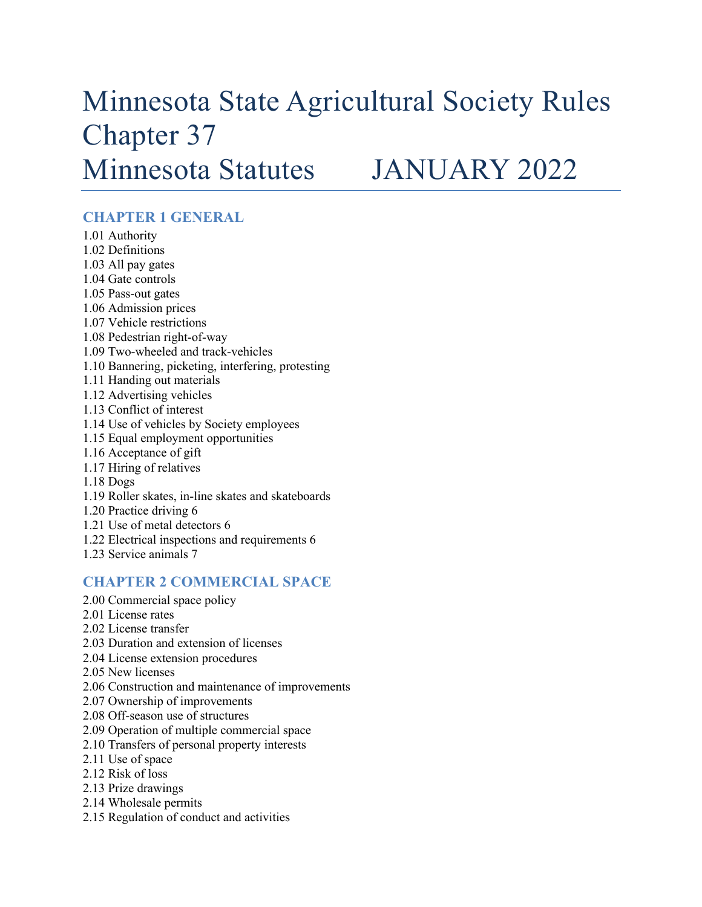# Minnesota State Agricultural Society Rules Chapter 37 Minnesota Statutes JANUARY 2022

# **CHAPTER 1 GENERAL**

1.01 Authority 1.02 Definitions 1.03 All pay gates 1.04 Gate controls 1.05 Pass-out gates 1.06 Admission prices 1.07 Vehicle restrictions 1.08 Pedestrian right-of-way 1.09 Two-wheeled and track-vehicles 1.10 Bannering, picketing, interfering, protesting 1.11 Handing out materials 1.12 Advertising vehicles 1.13 Conflict of interest 1.14 Use of vehicles by Society employees 1.15 Equal employment opportunities 1.16 Acceptance of gift 1.17 Hiring of relatives 1.18 Dogs 1.19 Roller skates, in-line skates and skateboards 1.20 Practice driving 6 1.21 Use of metal detectors 6 1.22 Electrical inspections and requirements 6 1.23 Service animals 7

# **CHAPTER 2 COMMERCIAL SPACE**

- 2.00 Commercial space policy
- 2.01 License rates
- 2.02 License transfer
- 2.03 Duration and extension of licenses
- 2.04 License extension procedures
- 2.05 New licenses
- 2.06 Construction and maintenance of improvements
- 2.07 Ownership of improvements
- 2.08 Off-season use of structures
- 2.09 Operation of multiple commercial space
- 2.10 Transfers of personal property interests
- 2.11 Use of space
- 2.12 Risk of loss
- 2.13 Prize drawings
- 2.14 Wholesale permits
- 2.15 Regulation of conduct and activities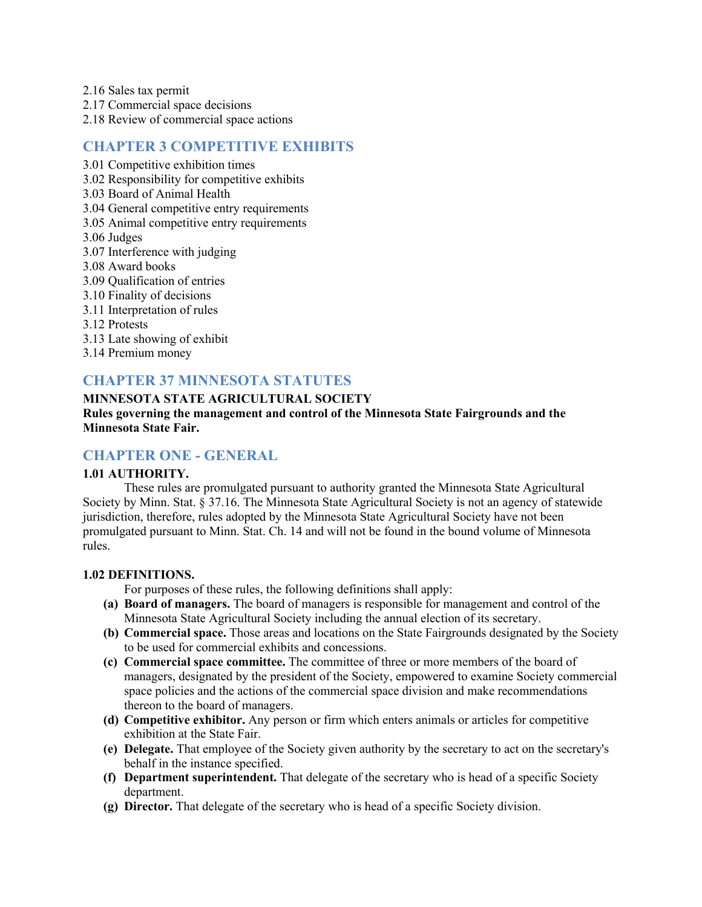2.16 Sales tax permit 2.17 Commercial space decisions 2.18 Review of commercial space actions

# **CHAPTER 3 COMPETITIVE EXHIBITS**

- 3.01 Competitive exhibition times
- 3.02 Responsibility for competitive exhibits
- 3.03 Board of Animal Health
- 3.04 General competitive entry requirements
- 3.05 Animal competitive entry requirements
- 3.06 Judges
- 3.07 Interference with judging
- 3.08 Award books
- 3.09 Qualification of entries
- 3.10 Finality of decisions
- 3.11 Interpretation of rules
- 3.12 Protests
- 3.13 Late showing of exhibit
- 3.14 Premium money

# **CHAPTER 37 MINNESOTA STATUTES**

# **MINNESOTA STATE AGRICULTURAL SOCIETY Rules governing the management and control of the Minnesota State Fairgrounds and the Minnesota State Fair.**

# **CHAPTER ONE - GENERAL**

# **1.01 AUTHORITY.**

These rules are promulgated pursuant to authority granted the Minnesota State Agricultural Society by Minn. Stat. § 37.16. The Minnesota State Agricultural Society is not an agency of statewide jurisdiction, therefore, rules adopted by the Minnesota State Agricultural Society have not been promulgated pursuant to Minn. Stat. Ch. 14 and will not be found in the bound volume of Minnesota rules.

# **1.02 DEFINITIONS.**

For purposes of these rules, the following definitions shall apply:

- **(a) Board of managers.** The board of managers is responsible for management and control of the Minnesota State Agricultural Society including the annual election of its secretary.
- **(b) Commercial space.** Those areas and locations on the State Fairgrounds designated by the Society to be used for commercial exhibits and concessions.
- **(c) Commercial space committee.** The committee of three or more members of the board of managers, designated by the president of the Society, empowered to examine Society commercial space policies and the actions of the commercial space division and make recommendations thereon to the board of managers.
- **(d) Competitive exhibitor.** Any person or firm which enters animals or articles for competitive exhibition at the State Fair.
- **(e) Delegate.** That employee of the Society given authority by the secretary to act on the secretary's behalf in the instance specified.
- **(f) Department superintendent.** That delegate of the secretary who is head of a specific Society department.
- **(g) Director.** That delegate of the secretary who is head of a specific Society division.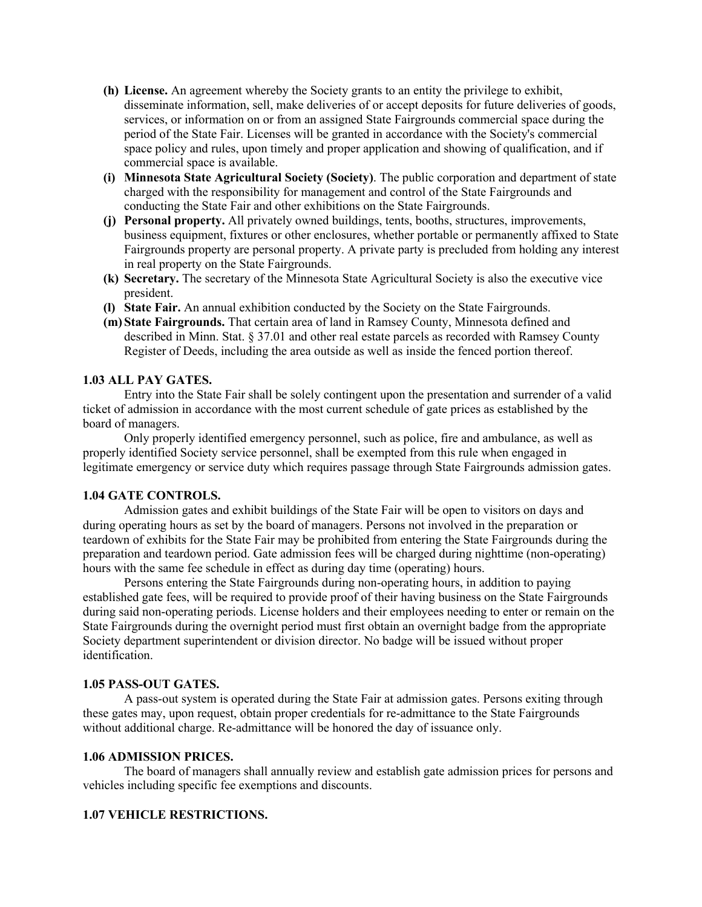- **(h) License.** An agreement whereby the Society grants to an entity the privilege to exhibit, disseminate information, sell, make deliveries of or accept deposits for future deliveries of goods, services, or information on or from an assigned State Fairgrounds commercial space during the period of the State Fair. Licenses will be granted in accordance with the Society's commercial space policy and rules, upon timely and proper application and showing of qualification, and if commercial space is available.
- **(i) Minnesota State Agricultural Society (Society)**. The public corporation and department of state charged with the responsibility for management and control of the State Fairgrounds and conducting the State Fair and other exhibitions on the State Fairgrounds.
- **(j) Personal property.** All privately owned buildings, tents, booths, structures, improvements, business equipment, fixtures or other enclosures, whether portable or permanently affixed to State Fairgrounds property are personal property. A private party is precluded from holding any interest in real property on the State Fairgrounds.
- **(k) Secretary.** The secretary of the Minnesota State Agricultural Society is also the executive vice president.
- **(l) State Fair.** An annual exhibition conducted by the Society on the State Fairgrounds.
- **(m)State Fairgrounds.** That certain area of land in Ramsey County, Minnesota defined and described in Minn. Stat. § 37.01 and other real estate parcels as recorded with Ramsey County Register of Deeds, including the area outside as well as inside the fenced portion thereof.

#### **1.03 ALL PAY GATES.**

Entry into the State Fair shall be solely contingent upon the presentation and surrender of a valid ticket of admission in accordance with the most current schedule of gate prices as established by the board of managers.

Only properly identified emergency personnel, such as police, fire and ambulance, as well as properly identified Society service personnel, shall be exempted from this rule when engaged in legitimate emergency or service duty which requires passage through State Fairgrounds admission gates.

#### **1.04 GATE CONTROLS.**

Admission gates and exhibit buildings of the State Fair will be open to visitors on days and during operating hours as set by the board of managers. Persons not involved in the preparation or teardown of exhibits for the State Fair may be prohibited from entering the State Fairgrounds during the preparation and teardown period. Gate admission fees will be charged during nighttime (non-operating) hours with the same fee schedule in effect as during day time (operating) hours.

Persons entering the State Fairgrounds during non-operating hours, in addition to paying established gate fees, will be required to provide proof of their having business on the State Fairgrounds during said non-operating periods. License holders and their employees needing to enter or remain on the State Fairgrounds during the overnight period must first obtain an overnight badge from the appropriate Society department superintendent or division director. No badge will be issued without proper identification.

#### **1.05 PASS-OUT GATES.**

A pass-out system is operated during the State Fair at admission gates. Persons exiting through these gates may, upon request, obtain proper credentials for re-admittance to the State Fairgrounds without additional charge. Re-admittance will be honored the day of issuance only.

#### **1.06 ADMISSION PRICES.**

The board of managers shall annually review and establish gate admission prices for persons and vehicles including specific fee exemptions and discounts.

#### **1.07 VEHICLE RESTRICTIONS.**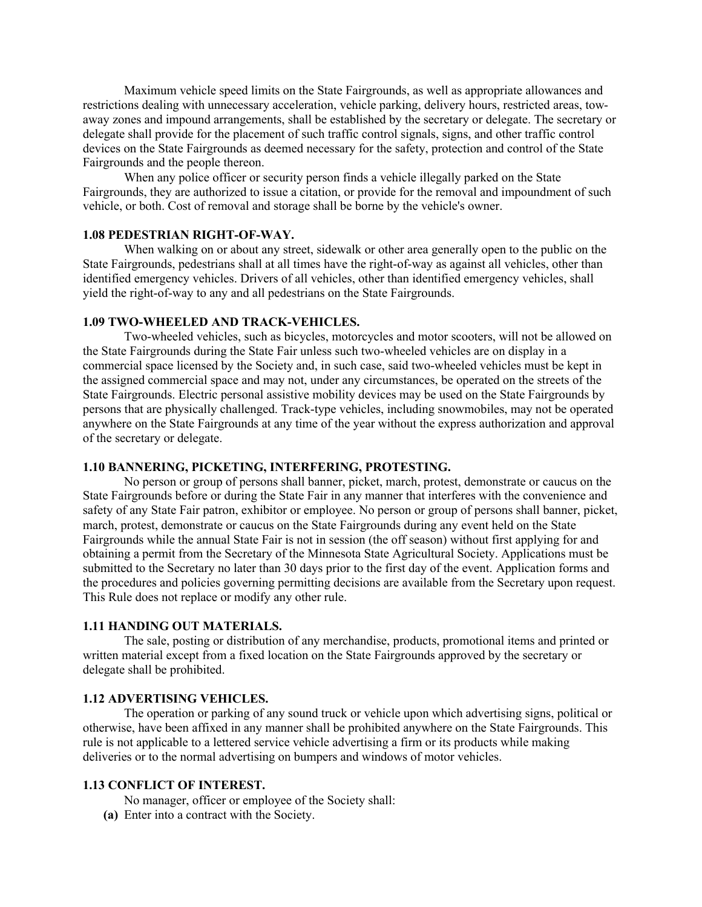Maximum vehicle speed limits on the State Fairgrounds, as well as appropriate allowances and restrictions dealing with unnecessary acceleration, vehicle parking, delivery hours, restricted areas, towaway zones and impound arrangements, shall be established by the secretary or delegate. The secretary or delegate shall provide for the placement of such traffic control signals, signs, and other traffic control devices on the State Fairgrounds as deemed necessary for the safety, protection and control of the State Fairgrounds and the people thereon.

When any police officer or security person finds a vehicle illegally parked on the State Fairgrounds, they are authorized to issue a citation, or provide for the removal and impoundment of such vehicle, or both. Cost of removal and storage shall be borne by the vehicle's owner.

### **1.08 PEDESTRIAN RIGHT-OF-WAY.**

When walking on or about any street, sidewalk or other area generally open to the public on the State Fairgrounds, pedestrians shall at all times have the right-of-way as against all vehicles, other than identified emergency vehicles. Drivers of all vehicles, other than identified emergency vehicles, shall yield the right-of-way to any and all pedestrians on the State Fairgrounds.

# **1.09 TWO-WHEELED AND TRACK-VEHICLES.**

Two-wheeled vehicles, such as bicycles, motorcycles and motor scooters, will not be allowed on the State Fairgrounds during the State Fair unless such two-wheeled vehicles are on display in a commercial space licensed by the Society and, in such case, said two-wheeled vehicles must be kept in the assigned commercial space and may not, under any circumstances, be operated on the streets of the State Fairgrounds. Electric personal assistive mobility devices may be used on the State Fairgrounds by persons that are physically challenged. Track-type vehicles, including snowmobiles, may not be operated anywhere on the State Fairgrounds at any time of the year without the express authorization and approval of the secretary or delegate.

# **1.10 BANNERING, PICKETING, INTERFERING, PROTESTING.**

No person or group of persons shall banner, picket, march, protest, demonstrate or caucus on the State Fairgrounds before or during the State Fair in any manner that interferes with the convenience and safety of any State Fair patron, exhibitor or employee. No person or group of persons shall banner, picket, march, protest, demonstrate or caucus on the State Fairgrounds during any event held on the State Fairgrounds while the annual State Fair is not in session (the off season) without first applying for and obtaining a permit from the Secretary of the Minnesota State Agricultural Society. Applications must be submitted to the Secretary no later than 30 days prior to the first day of the event. Application forms and the procedures and policies governing permitting decisions are available from the Secretary upon request. This Rule does not replace or modify any other rule.

#### **1.11 HANDING OUT MATERIALS.**

The sale, posting or distribution of any merchandise, products, promotional items and printed or written material except from a fixed location on the State Fairgrounds approved by the secretary or delegate shall be prohibited.

#### **1.12 ADVERTISING VEHICLES.**

The operation or parking of any sound truck or vehicle upon which advertising signs, political or otherwise, have been affixed in any manner shall be prohibited anywhere on the State Fairgrounds. This rule is not applicable to a lettered service vehicle advertising a firm or its products while making deliveries or to the normal advertising on bumpers and windows of motor vehicles.

# **1.13 CONFLICT OF INTEREST.**

No manager, officer or employee of the Society shall:

**(a)** Enter into a contract with the Society.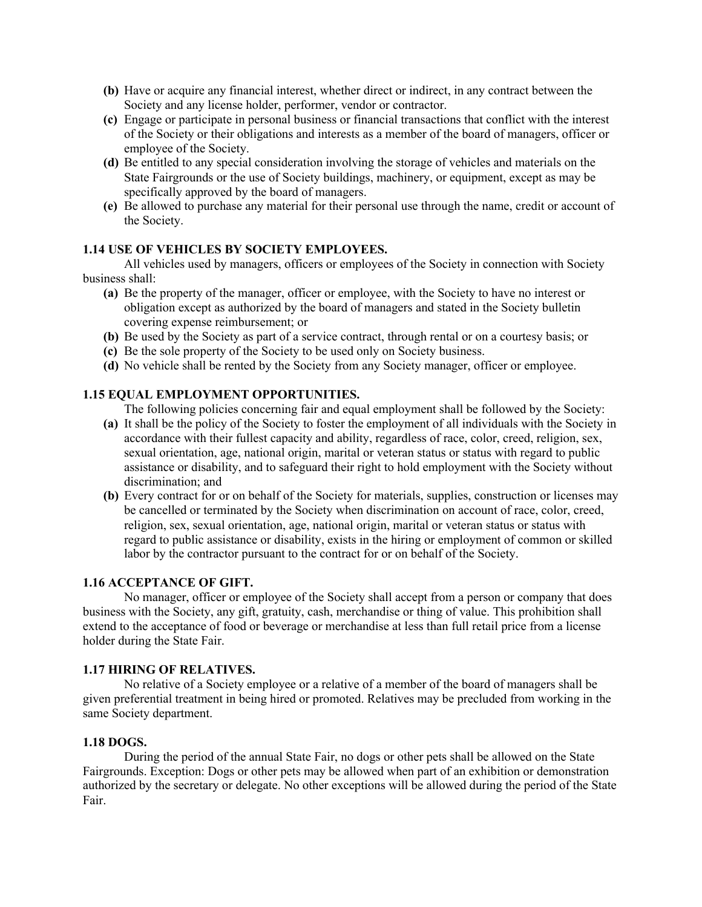- **(b)** Have or acquire any financial interest, whether direct or indirect, in any contract between the Society and any license holder, performer, vendor or contractor.
- **(c)** Engage or participate in personal business or financial transactions that conflict with the interest of the Society or their obligations and interests as a member of the board of managers, officer or employee of the Society.
- **(d)** Be entitled to any special consideration involving the storage of vehicles and materials on the State Fairgrounds or the use of Society buildings, machinery, or equipment, except as may be specifically approved by the board of managers.
- **(e)** Be allowed to purchase any material for their personal use through the name, credit or account of the Society.

# **1.14 USE OF VEHICLES BY SOCIETY EMPLOYEES.**

All vehicles used by managers, officers or employees of the Society in connection with Society business shall:

- **(a)** Be the property of the manager, officer or employee, with the Society to have no interest or obligation except as authorized by the board of managers and stated in the Society bulletin covering expense reimbursement; or
- **(b)** Be used by the Society as part of a service contract, through rental or on a courtesy basis; or
- **(c)** Be the sole property of the Society to be used only on Society business.
- **(d)** No vehicle shall be rented by the Society from any Society manager, officer or employee.

# **1.15 EQUAL EMPLOYMENT OPPORTUNITIES.**

The following policies concerning fair and equal employment shall be followed by the Society:

- **(a)** It shall be the policy of the Society to foster the employment of all individuals with the Society in accordance with their fullest capacity and ability, regardless of race, color, creed, religion, sex, sexual orientation, age, national origin, marital or veteran status or status with regard to public assistance or disability, and to safeguard their right to hold employment with the Society without discrimination; and
- **(b)** Every contract for or on behalf of the Society for materials, supplies, construction or licenses may be cancelled or terminated by the Society when discrimination on account of race, color, creed, religion, sex, sexual orientation, age, national origin, marital or veteran status or status with regard to public assistance or disability, exists in the hiring or employment of common or skilled labor by the contractor pursuant to the contract for or on behalf of the Society.

# **1.16 ACCEPTANCE OF GIFT.**

No manager, officer or employee of the Society shall accept from a person or company that does business with the Society, any gift, gratuity, cash, merchandise or thing of value. This prohibition shall extend to the acceptance of food or beverage or merchandise at less than full retail price from a license holder during the State Fair.

# **1.17 HIRING OF RELATIVES.**

No relative of a Society employee or a relative of a member of the board of managers shall be given preferential treatment in being hired or promoted. Relatives may be precluded from working in the same Society department.

#### **1.18 DOGS.**

During the period of the annual State Fair, no dogs or other pets shall be allowed on the State Fairgrounds. Exception: Dogs or other pets may be allowed when part of an exhibition or demonstration authorized by the secretary or delegate. No other exceptions will be allowed during the period of the State Fair.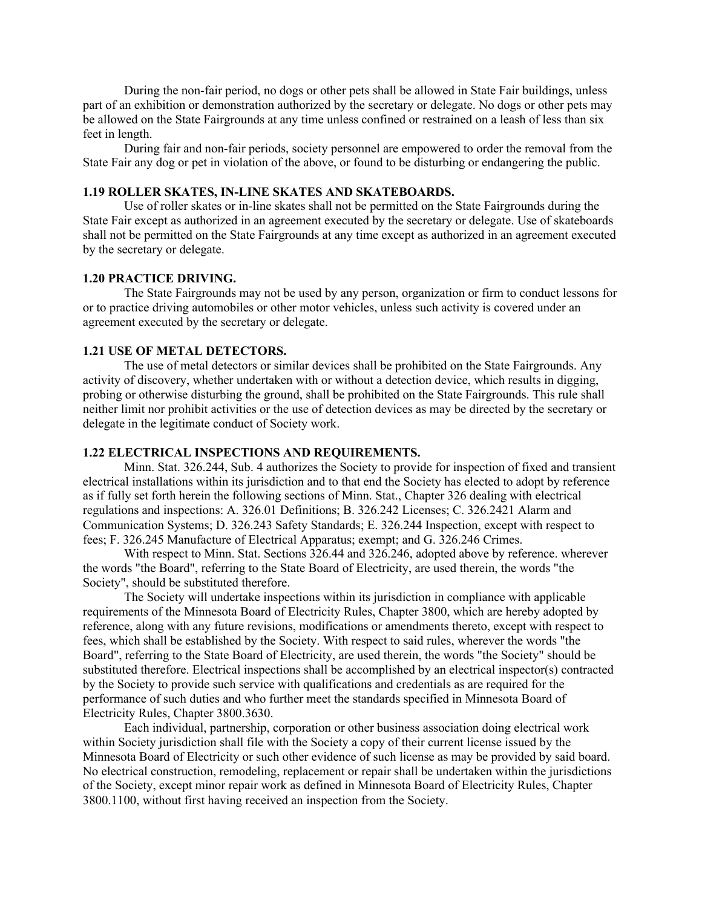During the non-fair period, no dogs or other pets shall be allowed in State Fair buildings, unless part of an exhibition or demonstration authorized by the secretary or delegate. No dogs or other pets may be allowed on the State Fairgrounds at any time unless confined or restrained on a leash of less than six feet in length.

During fair and non-fair periods, society personnel are empowered to order the removal from the State Fair any dog or pet in violation of the above, or found to be disturbing or endangering the public.

# **1.19 ROLLER SKATES, IN-LINE SKATES AND SKATEBOARDS.**

Use of roller skates or in-line skates shall not be permitted on the State Fairgrounds during the State Fair except as authorized in an agreement executed by the secretary or delegate. Use of skateboards shall not be permitted on the State Fairgrounds at any time except as authorized in an agreement executed by the secretary or delegate.

#### **1.20 PRACTICE DRIVING.**

The State Fairgrounds may not be used by any person, organization or firm to conduct lessons for or to practice driving automobiles or other motor vehicles, unless such activity is covered under an agreement executed by the secretary or delegate.

#### **1.21 USE OF METAL DETECTORS.**

The use of metal detectors or similar devices shall be prohibited on the State Fairgrounds. Any activity of discovery, whether undertaken with or without a detection device, which results in digging, probing or otherwise disturbing the ground, shall be prohibited on the State Fairgrounds. This rule shall neither limit nor prohibit activities or the use of detection devices as may be directed by the secretary or delegate in the legitimate conduct of Society work.

## **1.22 ELECTRICAL INSPECTIONS AND REQUIREMENTS.**

Minn. Stat. 326.244, Sub. 4 authorizes the Society to provide for inspection of fixed and transient electrical installations within its jurisdiction and to that end the Society has elected to adopt by reference as if fully set forth herein the following sections of Minn. Stat., Chapter 326 dealing with electrical regulations and inspections: A. 326.01 Definitions; B. 326.242 Licenses; C. 326.2421 Alarm and Communication Systems; D. 326.243 Safety Standards; E. 326.244 Inspection, except with respect to fees; F. 326.245 Manufacture of Electrical Apparatus; exempt; and G. 326.246 Crimes.

With respect to Minn. Stat. Sections 326.44 and 326.246, adopted above by reference. wherever the words "the Board", referring to the State Board of Electricity, are used therein, the words "the Society", should be substituted therefore.

The Society will undertake inspections within its jurisdiction in compliance with applicable requirements of the Minnesota Board of Electricity Rules, Chapter 3800, which are hereby adopted by reference, along with any future revisions, modifications or amendments thereto, except with respect to fees, which shall be established by the Society. With respect to said rules, wherever the words "the Board", referring to the State Board of Electricity, are used therein, the words "the Society" should be substituted therefore. Electrical inspections shall be accomplished by an electrical inspector(s) contracted by the Society to provide such service with qualifications and credentials as are required for the performance of such duties and who further meet the standards specified in Minnesota Board of Electricity Rules, Chapter 3800.3630.

Each individual, partnership, corporation or other business association doing electrical work within Society jurisdiction shall file with the Society a copy of their current license issued by the Minnesota Board of Electricity or such other evidence of such license as may be provided by said board. No electrical construction, remodeling, replacement or repair shall be undertaken within the jurisdictions of the Society, except minor repair work as defined in Minnesota Board of Electricity Rules, Chapter 3800.1100, without first having received an inspection from the Society.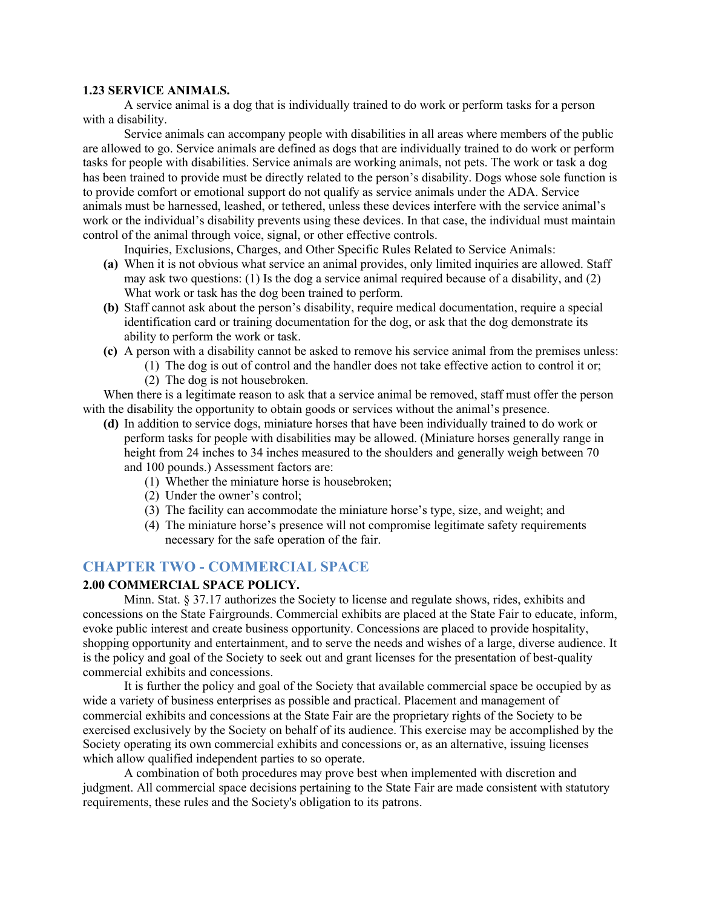#### **1.23 SERVICE ANIMALS.**

A service animal is a dog that is individually trained to do work or perform tasks for a person with a disability.

Service animals can accompany people with disabilities in all areas where members of the public are allowed to go. Service animals are defined as dogs that are individually trained to do work or perform tasks for people with disabilities. Service animals are working animals, not pets. The work or task a dog has been trained to provide must be directly related to the person's disability. Dogs whose sole function is to provide comfort or emotional support do not qualify as service animals under the ADA. Service animals must be harnessed, leashed, or tethered, unless these devices interfere with the service animal's work or the individual's disability prevents using these devices. In that case, the individual must maintain control of the animal through voice, signal, or other effective controls.

Inquiries, Exclusions, Charges, and Other Specific Rules Related to Service Animals:

- **(a)** When it is not obvious what service an animal provides, only limited inquiries are allowed. Staff may ask two questions: (1) Is the dog a service animal required because of a disability, and (2) What work or task has the dog been trained to perform.
- **(b)** Staff cannot ask about the person's disability, require medical documentation, require a special identification card or training documentation for the dog, or ask that the dog demonstrate its ability to perform the work or task.
- **(c)** A person with a disability cannot be asked to remove his service animal from the premises unless:
	- (1) The dog is out of control and the handler does not take effective action to control it or; (2) The dog is not housebroken.

When there is a legitimate reason to ask that a service animal be removed, staff must offer the person with the disability the opportunity to obtain goods or services without the animal's presence.

- **(d)** In addition to service dogs, miniature horses that have been individually trained to do work or perform tasks for people with disabilities may be allowed. (Miniature horses generally range in height from 24 inches to 34 inches measured to the shoulders and generally weigh between 70 and 100 pounds.) Assessment factors are:
	- (1) Whether the miniature horse is housebroken;
	- (2) Under the owner's control;
	- (3) The facility can accommodate the miniature horse's type, size, and weight; and
	- (4) The miniature horse's presence will not compromise legitimate safety requirements necessary for the safe operation of the fair.

# **CHAPTER TWO - COMMERCIAL SPACE**

# **2.00 COMMERCIAL SPACE POLICY.**

Minn. Stat. § 37.17 authorizes the Society to license and regulate shows, rides, exhibits and concessions on the State Fairgrounds. Commercial exhibits are placed at the State Fair to educate, inform, evoke public interest and create business opportunity. Concessions are placed to provide hospitality, shopping opportunity and entertainment, and to serve the needs and wishes of a large, diverse audience. It is the policy and goal of the Society to seek out and grant licenses for the presentation of best-quality commercial exhibits and concessions.

It is further the policy and goal of the Society that available commercial space be occupied by as wide a variety of business enterprises as possible and practical. Placement and management of commercial exhibits and concessions at the State Fair are the proprietary rights of the Society to be exercised exclusively by the Society on behalf of its audience. This exercise may be accomplished by the Society operating its own commercial exhibits and concessions or, as an alternative, issuing licenses which allow qualified independent parties to so operate.

A combination of both procedures may prove best when implemented with discretion and judgment. All commercial space decisions pertaining to the State Fair are made consistent with statutory requirements, these rules and the Society's obligation to its patrons.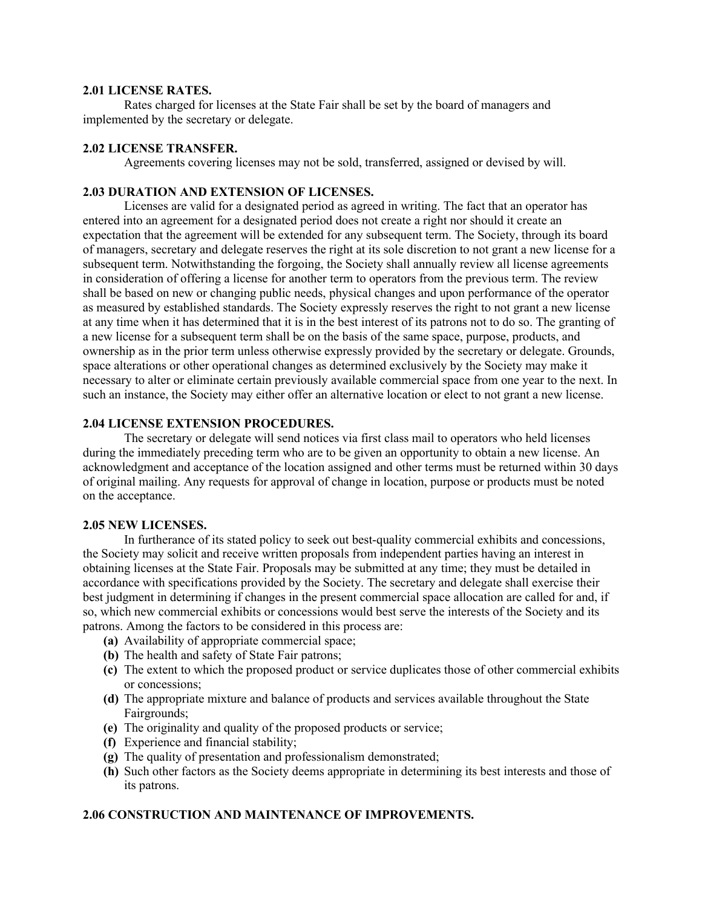#### **2.01 LICENSE RATES.**

Rates charged for licenses at the State Fair shall be set by the board of managers and implemented by the secretary or delegate.

#### **2.02 LICENSE TRANSFER.**

Agreements covering licenses may not be sold, transferred, assigned or devised by will.

# **2.03 DURATION AND EXTENSION OF LICENSES.**

Licenses are valid for a designated period as agreed in writing. The fact that an operator has entered into an agreement for a designated period does not create a right nor should it create an expectation that the agreement will be extended for any subsequent term. The Society, through its board of managers, secretary and delegate reserves the right at its sole discretion to not grant a new license for a subsequent term. Notwithstanding the forgoing, the Society shall annually review all license agreements in consideration of offering a license for another term to operators from the previous term. The review shall be based on new or changing public needs, physical changes and upon performance of the operator as measured by established standards. The Society expressly reserves the right to not grant a new license at any time when it has determined that it is in the best interest of its patrons not to do so. The granting of a new license for a subsequent term shall be on the basis of the same space, purpose, products, and ownership as in the prior term unless otherwise expressly provided by the secretary or delegate. Grounds, space alterations or other operational changes as determined exclusively by the Society may make it necessary to alter or eliminate certain previously available commercial space from one year to the next. In such an instance, the Society may either offer an alternative location or elect to not grant a new license.

## **2.04 LICENSE EXTENSION PROCEDURES.**

The secretary or delegate will send notices via first class mail to operators who held licenses during the immediately preceding term who are to be given an opportunity to obtain a new license. An acknowledgment and acceptance of the location assigned and other terms must be returned within 30 days of original mailing. Any requests for approval of change in location, purpose or products must be noted on the acceptance.

# **2.05 NEW LICENSES.**

In furtherance of its stated policy to seek out best-quality commercial exhibits and concessions, the Society may solicit and receive written proposals from independent parties having an interest in obtaining licenses at the State Fair. Proposals may be submitted at any time; they must be detailed in accordance with specifications provided by the Society. The secretary and delegate shall exercise their best judgment in determining if changes in the present commercial space allocation are called for and, if so, which new commercial exhibits or concessions would best serve the interests of the Society and its patrons. Among the factors to be considered in this process are:

- **(a)** Availability of appropriate commercial space;
- **(b)** The health and safety of State Fair patrons;
- **(c)** The extent to which the proposed product or service duplicates those of other commercial exhibits or concessions;
- **(d)** The appropriate mixture and balance of products and services available throughout the State Fairgrounds;
- **(e)** The originality and quality of the proposed products or service;
- **(f)** Experience and financial stability;
- **(g)** The quality of presentation and professionalism demonstrated;
- **(h)** Such other factors as the Society deems appropriate in determining its best interests and those of its patrons.

#### **2.06 CONSTRUCTION AND MAINTENANCE OF IMPROVEMENTS.**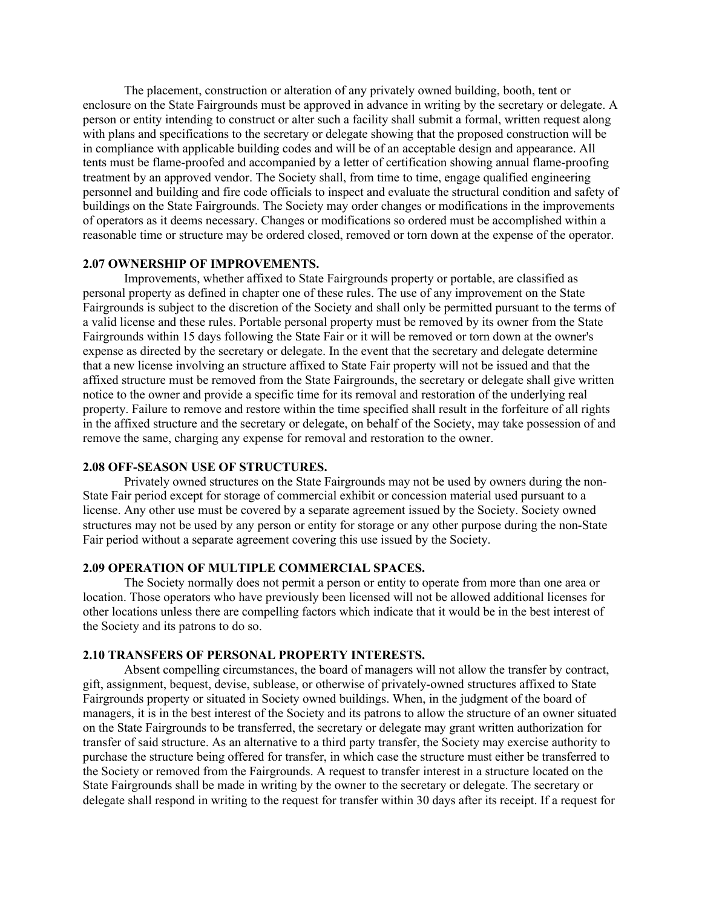The placement, construction or alteration of any privately owned building, booth, tent or enclosure on the State Fairgrounds must be approved in advance in writing by the secretary or delegate. A person or entity intending to construct or alter such a facility shall submit a formal, written request along with plans and specifications to the secretary or delegate showing that the proposed construction will be in compliance with applicable building codes and will be of an acceptable design and appearance. All tents must be flame-proofed and accompanied by a letter of certification showing annual flame-proofing treatment by an approved vendor. The Society shall, from time to time, engage qualified engineering personnel and building and fire code officials to inspect and evaluate the structural condition and safety of buildings on the State Fairgrounds. The Society may order changes or modifications in the improvements of operators as it deems necessary. Changes or modifications so ordered must be accomplished within a reasonable time or structure may be ordered closed, removed or torn down at the expense of the operator.

# **2.07 OWNERSHIP OF IMPROVEMENTS.**

Improvements, whether affixed to State Fairgrounds property or portable, are classified as personal property as defined in chapter one of these rules. The use of any improvement on the State Fairgrounds is subject to the discretion of the Society and shall only be permitted pursuant to the terms of a valid license and these rules. Portable personal property must be removed by its owner from the State Fairgrounds within 15 days following the State Fair or it will be removed or torn down at the owner's expense as directed by the secretary or delegate. In the event that the secretary and delegate determine that a new license involving an structure affixed to State Fair property will not be issued and that the affixed structure must be removed from the State Fairgrounds, the secretary or delegate shall give written notice to the owner and provide a specific time for its removal and restoration of the underlying real property. Failure to remove and restore within the time specified shall result in the forfeiture of all rights in the affixed structure and the secretary or delegate, on behalf of the Society, may take possession of and remove the same, charging any expense for removal and restoration to the owner.

# **2.08 OFF-SEASON USE OF STRUCTURES.**

Privately owned structures on the State Fairgrounds may not be used by owners during the non-State Fair period except for storage of commercial exhibit or concession material used pursuant to a license. Any other use must be covered by a separate agreement issued by the Society. Society owned structures may not be used by any person or entity for storage or any other purpose during the non-State Fair period without a separate agreement covering this use issued by the Society.

# **2.09 OPERATION OF MULTIPLE COMMERCIAL SPACES.**

The Society normally does not permit a person or entity to operate from more than one area or location. Those operators who have previously been licensed will not be allowed additional licenses for other locations unless there are compelling factors which indicate that it would be in the best interest of the Society and its patrons to do so.

# **2.10 TRANSFERS OF PERSONAL PROPERTY INTERESTS.**

Absent compelling circumstances, the board of managers will not allow the transfer by contract, gift, assignment, bequest, devise, sublease, or otherwise of privately-owned structures affixed to State Fairgrounds property or situated in Society owned buildings. When, in the judgment of the board of managers, it is in the best interest of the Society and its patrons to allow the structure of an owner situated on the State Fairgrounds to be transferred, the secretary or delegate may grant written authorization for transfer of said structure. As an alternative to a third party transfer, the Society may exercise authority to purchase the structure being offered for transfer, in which case the structure must either be transferred to the Society or removed from the Fairgrounds. A request to transfer interest in a structure located on the State Fairgrounds shall be made in writing by the owner to the secretary or delegate. The secretary or delegate shall respond in writing to the request for transfer within 30 days after its receipt. If a request for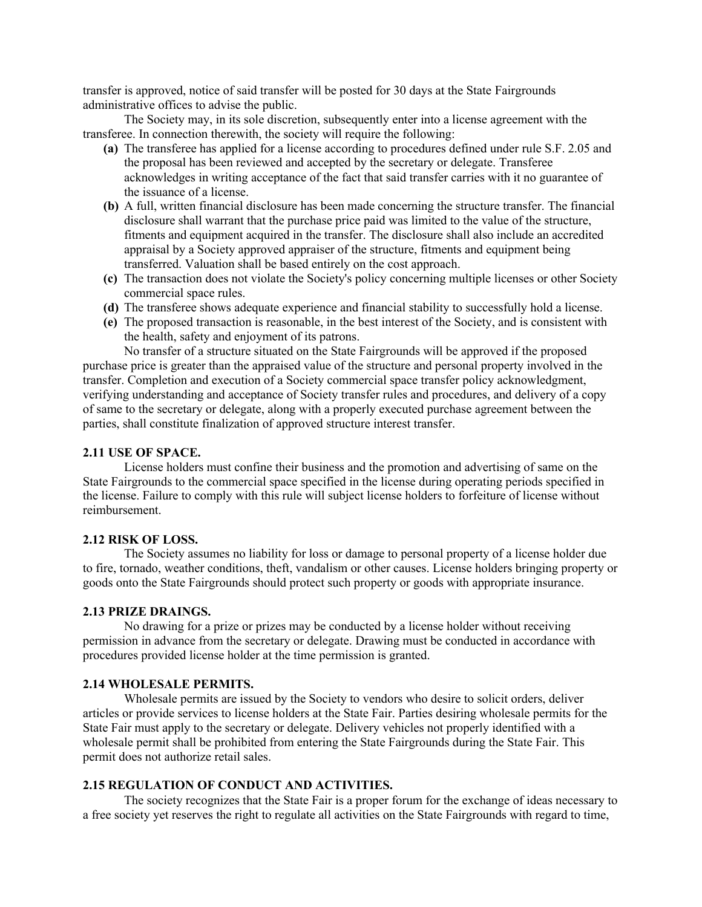transfer is approved, notice of said transfer will be posted for 30 days at the State Fairgrounds administrative offices to advise the public.

The Society may, in its sole discretion, subsequently enter into a license agreement with the transferee. In connection therewith, the society will require the following:

- **(a)** The transferee has applied for a license according to procedures defined under rule S.F. 2.05 and the proposal has been reviewed and accepted by the secretary or delegate. Transferee acknowledges in writing acceptance of the fact that said transfer carries with it no guarantee of the issuance of a license.
- **(b)** A full, written financial disclosure has been made concerning the structure transfer. The financial disclosure shall warrant that the purchase price paid was limited to the value of the structure, fitments and equipment acquired in the transfer. The disclosure shall also include an accredited appraisal by a Society approved appraiser of the structure, fitments and equipment being transferred. Valuation shall be based entirely on the cost approach.
- **(c)** The transaction does not violate the Society's policy concerning multiple licenses or other Society commercial space rules.
- **(d)** The transferee shows adequate experience and financial stability to successfully hold a license.
- **(e)** The proposed transaction is reasonable, in the best interest of the Society, and is consistent with the health, safety and enjoyment of its patrons.

No transfer of a structure situated on the State Fairgrounds will be approved if the proposed purchase price is greater than the appraised value of the structure and personal property involved in the transfer. Completion and execution of a Society commercial space transfer policy acknowledgment, verifying understanding and acceptance of Society transfer rules and procedures, and delivery of a copy of same to the secretary or delegate, along with a properly executed purchase agreement between the parties, shall constitute finalization of approved structure interest transfer.

# **2.11 USE OF SPACE.**

License holders must confine their business and the promotion and advertising of same on the State Fairgrounds to the commercial space specified in the license during operating periods specified in the license. Failure to comply with this rule will subject license holders to forfeiture of license without reimbursement.

#### **2.12 RISK OF LOSS.**

The Society assumes no liability for loss or damage to personal property of a license holder due to fire, tornado, weather conditions, theft, vandalism or other causes. License holders bringing property or goods onto the State Fairgrounds should protect such property or goods with appropriate insurance.

# **2.13 PRIZE DRAINGS.**

No drawing for a prize or prizes may be conducted by a license holder without receiving permission in advance from the secretary or delegate. Drawing must be conducted in accordance with procedures provided license holder at the time permission is granted.

#### **2.14 WHOLESALE PERMITS.**

Wholesale permits are issued by the Society to vendors who desire to solicit orders, deliver articles or provide services to license holders at the State Fair. Parties desiring wholesale permits for the State Fair must apply to the secretary or delegate. Delivery vehicles not properly identified with a wholesale permit shall be prohibited from entering the State Fairgrounds during the State Fair. This permit does not authorize retail sales.

# **2.15 REGULATION OF CONDUCT AND ACTIVITIES.**

The society recognizes that the State Fair is a proper forum for the exchange of ideas necessary to a free society yet reserves the right to regulate all activities on the State Fairgrounds with regard to time,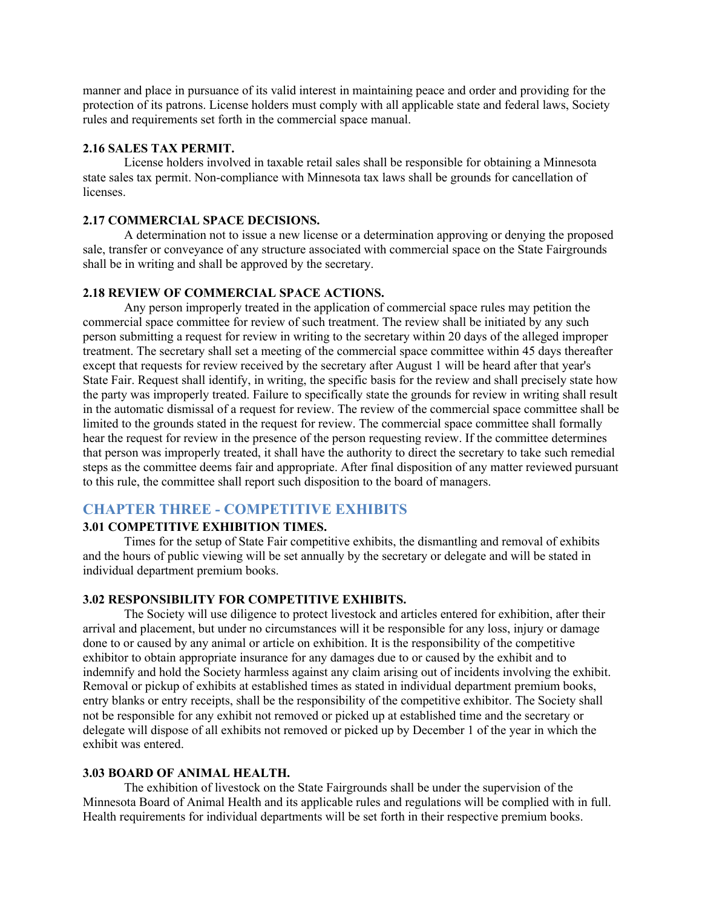manner and place in pursuance of its valid interest in maintaining peace and order and providing for the protection of its patrons. License holders must comply with all applicable state and federal laws, Society rules and requirements set forth in the commercial space manual.

#### **2.16 SALES TAX PERMIT.**

License holders involved in taxable retail sales shall be responsible for obtaining a Minnesota state sales tax permit. Non-compliance with Minnesota tax laws shall be grounds for cancellation of licenses.

# **2.17 COMMERCIAL SPACE DECISIONS.**

A determination not to issue a new license or a determination approving or denying the proposed sale, transfer or conveyance of any structure associated with commercial space on the State Fairgrounds shall be in writing and shall be approved by the secretary.

# **2.18 REVIEW OF COMMERCIAL SPACE ACTIONS.**

Any person improperly treated in the application of commercial space rules may petition the commercial space committee for review of such treatment. The review shall be initiated by any such person submitting a request for review in writing to the secretary within 20 days of the alleged improper treatment. The secretary shall set a meeting of the commercial space committee within 45 days thereafter except that requests for review received by the secretary after August 1 will be heard after that year's State Fair. Request shall identify, in writing, the specific basis for the review and shall precisely state how the party was improperly treated. Failure to specifically state the grounds for review in writing shall result in the automatic dismissal of a request for review. The review of the commercial space committee shall be limited to the grounds stated in the request for review. The commercial space committee shall formally hear the request for review in the presence of the person requesting review. If the committee determines that person was improperly treated, it shall have the authority to direct the secretary to take such remedial steps as the committee deems fair and appropriate. After final disposition of any matter reviewed pursuant to this rule, the committee shall report such disposition to the board of managers.

# **CHAPTER THREE - COMPETITIVE EXHIBITS**

#### **3.01 COMPETITIVE EXHIBITION TIMES.**

Times for the setup of State Fair competitive exhibits, the dismantling and removal of exhibits and the hours of public viewing will be set annually by the secretary or delegate and will be stated in individual department premium books.

# **3.02 RESPONSIBILITY FOR COMPETITIVE EXHIBITS.**

The Society will use diligence to protect livestock and articles entered for exhibition, after their arrival and placement, but under no circumstances will it be responsible for any loss, injury or damage done to or caused by any animal or article on exhibition. It is the responsibility of the competitive exhibitor to obtain appropriate insurance for any damages due to or caused by the exhibit and to indemnify and hold the Society harmless against any claim arising out of incidents involving the exhibit. Removal or pickup of exhibits at established times as stated in individual department premium books, entry blanks or entry receipts, shall be the responsibility of the competitive exhibitor. The Society shall not be responsible for any exhibit not removed or picked up at established time and the secretary or delegate will dispose of all exhibits not removed or picked up by December 1 of the year in which the exhibit was entered.

#### **3.03 BOARD OF ANIMAL HEALTH.**

The exhibition of livestock on the State Fairgrounds shall be under the supervision of the Minnesota Board of Animal Health and its applicable rules and regulations will be complied with in full. Health requirements for individual departments will be set forth in their respective premium books.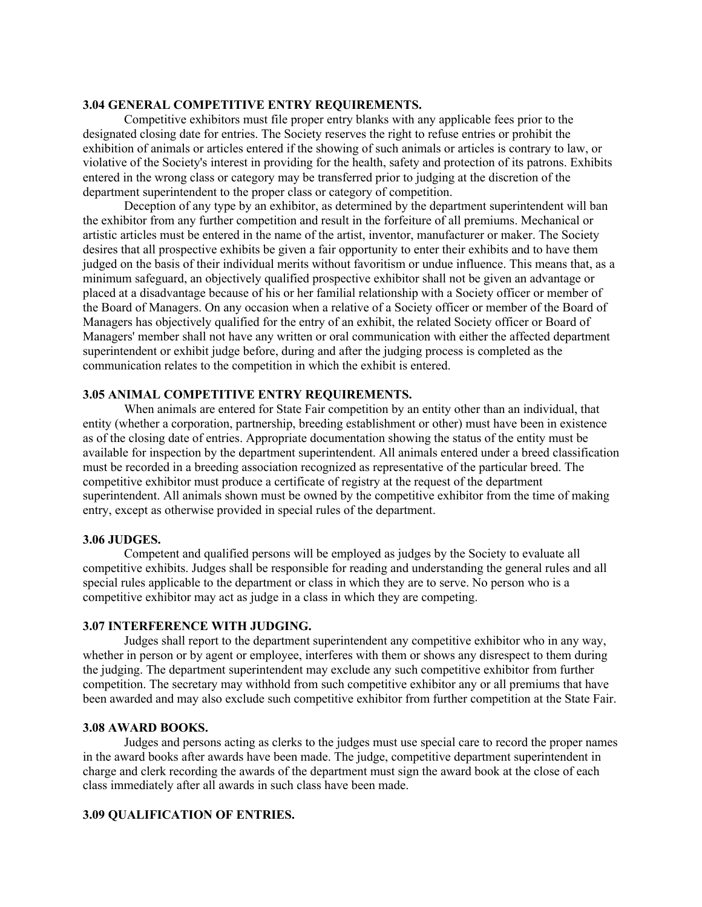#### **3.04 GENERAL COMPETITIVE ENTRY REQUIREMENTS.**

Competitive exhibitors must file proper entry blanks with any applicable fees prior to the designated closing date for entries. The Society reserves the right to refuse entries or prohibit the exhibition of animals or articles entered if the showing of such animals or articles is contrary to law, or violative of the Society's interest in providing for the health, safety and protection of its patrons. Exhibits entered in the wrong class or category may be transferred prior to judging at the discretion of the department superintendent to the proper class or category of competition.

Deception of any type by an exhibitor, as determined by the department superintendent will ban the exhibitor from any further competition and result in the forfeiture of all premiums. Mechanical or artistic articles must be entered in the name of the artist, inventor, manufacturer or maker. The Society desires that all prospective exhibits be given a fair opportunity to enter their exhibits and to have them judged on the basis of their individual merits without favoritism or undue influence. This means that, as a minimum safeguard, an objectively qualified prospective exhibitor shall not be given an advantage or placed at a disadvantage because of his or her familial relationship with a Society officer or member of the Board of Managers. On any occasion when a relative of a Society officer or member of the Board of Managers has objectively qualified for the entry of an exhibit, the related Society officer or Board of Managers' member shall not have any written or oral communication with either the affected department superintendent or exhibit judge before, during and after the judging process is completed as the communication relates to the competition in which the exhibit is entered.

#### **3.05 ANIMAL COMPETITIVE ENTRY REQUIREMENTS.**

When animals are entered for State Fair competition by an entity other than an individual, that entity (whether a corporation, partnership, breeding establishment or other) must have been in existence as of the closing date of entries. Appropriate documentation showing the status of the entity must be available for inspection by the department superintendent. All animals entered under a breed classification must be recorded in a breeding association recognized as representative of the particular breed. The competitive exhibitor must produce a certificate of registry at the request of the department superintendent. All animals shown must be owned by the competitive exhibitor from the time of making entry, except as otherwise provided in special rules of the department.

#### **3.06 JUDGES.**

Competent and qualified persons will be employed as judges by the Society to evaluate all competitive exhibits. Judges shall be responsible for reading and understanding the general rules and all special rules applicable to the department or class in which they are to serve. No person who is a competitive exhibitor may act as judge in a class in which they are competing.

#### **3.07 INTERFERENCE WITH JUDGING.**

Judges shall report to the department superintendent any competitive exhibitor who in any way, whether in person or by agent or employee, interferes with them or shows any disrespect to them during the judging. The department superintendent may exclude any such competitive exhibitor from further competition. The secretary may withhold from such competitive exhibitor any or all premiums that have been awarded and may also exclude such competitive exhibitor from further competition at the State Fair.

#### **3.08 AWARD BOOKS.**

Judges and persons acting as clerks to the judges must use special care to record the proper names in the award books after awards have been made. The judge, competitive department superintendent in charge and clerk recording the awards of the department must sign the award book at the close of each class immediately after all awards in such class have been made.

# **3.09 QUALIFICATION OF ENTRIES.**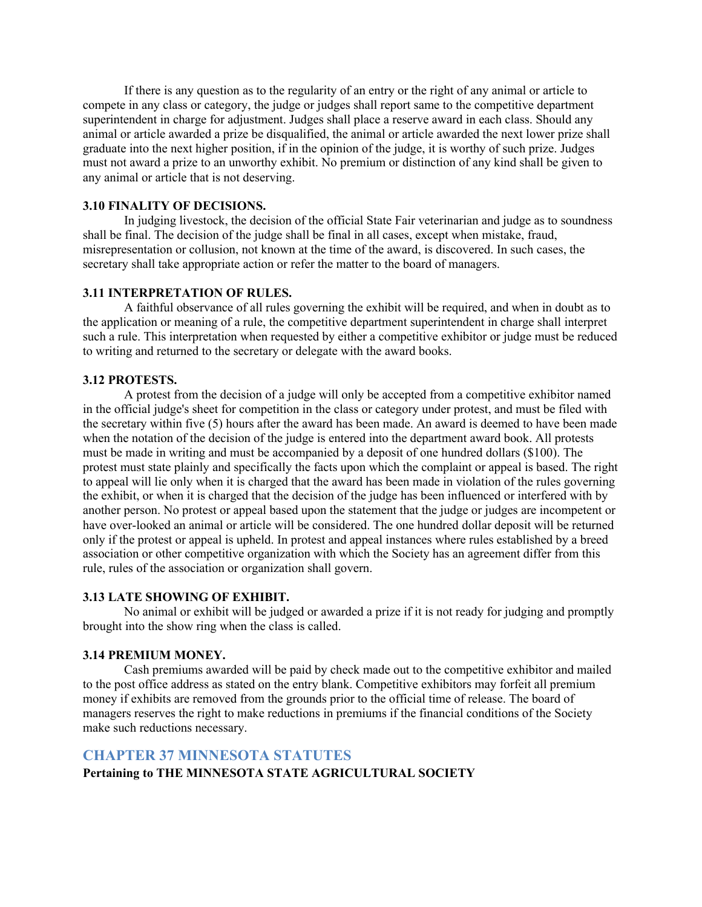If there is any question as to the regularity of an entry or the right of any animal or article to compete in any class or category, the judge or judges shall report same to the competitive department superintendent in charge for adjustment. Judges shall place a reserve award in each class. Should any animal or article awarded a prize be disqualified, the animal or article awarded the next lower prize shall graduate into the next higher position, if in the opinion of the judge, it is worthy of such prize. Judges must not award a prize to an unworthy exhibit. No premium or distinction of any kind shall be given to any animal or article that is not deserving.

# **3.10 FINALITY OF DECISIONS.**

In judging livestock, the decision of the official State Fair veterinarian and judge as to soundness shall be final. The decision of the judge shall be final in all cases, except when mistake, fraud, misrepresentation or collusion, not known at the time of the award, is discovered. In such cases, the secretary shall take appropriate action or refer the matter to the board of managers.

# **3.11 INTERPRETATION OF RULES.**

A faithful observance of all rules governing the exhibit will be required, and when in doubt as to the application or meaning of a rule, the competitive department superintendent in charge shall interpret such a rule. This interpretation when requested by either a competitive exhibitor or judge must be reduced to writing and returned to the secretary or delegate with the award books.

## **3.12 PROTESTS.**

A protest from the decision of a judge will only be accepted from a competitive exhibitor named in the official judge's sheet for competition in the class or category under protest, and must be filed with the secretary within five (5) hours after the award has been made. An award is deemed to have been made when the notation of the decision of the judge is entered into the department award book. All protests must be made in writing and must be accompanied by a deposit of one hundred dollars (\$100). The protest must state plainly and specifically the facts upon which the complaint or appeal is based. The right to appeal will lie only when it is charged that the award has been made in violation of the rules governing the exhibit, or when it is charged that the decision of the judge has been influenced or interfered with by another person. No protest or appeal based upon the statement that the judge or judges are incompetent or have over-looked an animal or article will be considered. The one hundred dollar deposit will be returned only if the protest or appeal is upheld. In protest and appeal instances where rules established by a breed association or other competitive organization with which the Society has an agreement differ from this rule, rules of the association or organization shall govern.

#### **3.13 LATE SHOWING OF EXHIBIT.**

No animal or exhibit will be judged or awarded a prize if it is not ready for judging and promptly brought into the show ring when the class is called.

# **3.14 PREMIUM MONEY.**

Cash premiums awarded will be paid by check made out to the competitive exhibitor and mailed to the post office address as stated on the entry blank. Competitive exhibitors may forfeit all premium money if exhibits are removed from the grounds prior to the official time of release. The board of managers reserves the right to make reductions in premiums if the financial conditions of the Society make such reductions necessary.

# **CHAPTER 37 MINNESOTA STATUTES**

#### **Pertaining to THE MINNESOTA STATE AGRICULTURAL SOCIETY**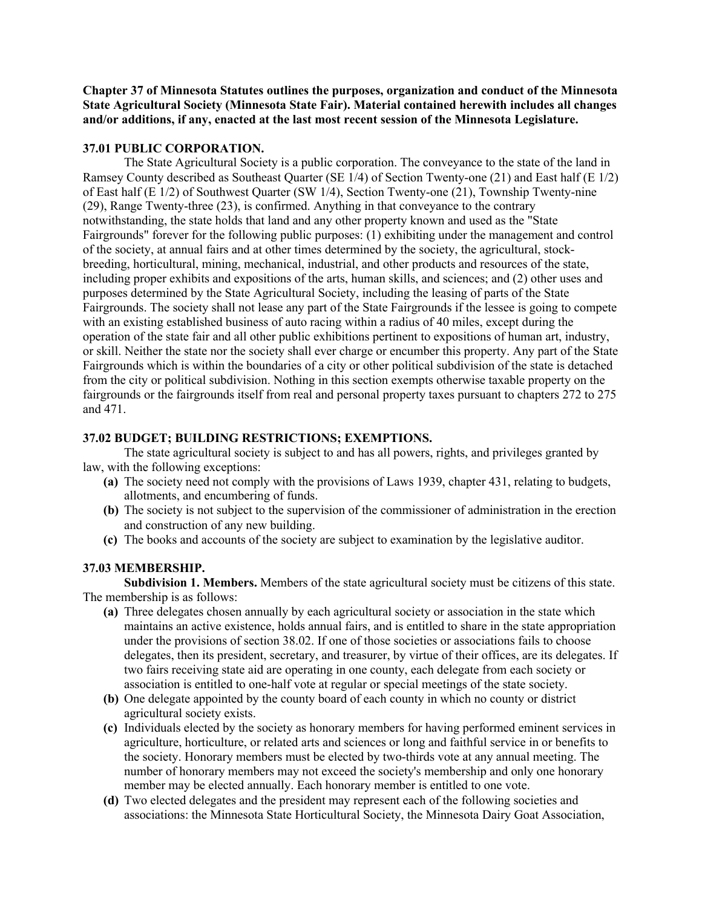**Chapter 37 of Minnesota Statutes outlines the purposes, organization and conduct of the Minnesota State Agricultural Society (Minnesota State Fair). Material contained herewith includes all changes and/or additions, if any, enacted at the last most recent session of the Minnesota Legislature.**

# **37.01 PUBLIC CORPORATION.**

The State Agricultural Society is a public corporation. The conveyance to the state of the land in Ramsey County described as Southeast Quarter (SE  $1/4$ ) of Section Twenty-one (21) and East half (E  $1/2$ ) of East half (E 1/2) of Southwest Quarter (SW 1/4), Section Twenty-one (21), Township Twenty-nine (29), Range Twenty-three (23), is confirmed. Anything in that conveyance to the contrary notwithstanding, the state holds that land and any other property known and used as the "State Fairgrounds" forever for the following public purposes: (1) exhibiting under the management and control of the society, at annual fairs and at other times determined by the society, the agricultural, stockbreeding, horticultural, mining, mechanical, industrial, and other products and resources of the state, including proper exhibits and expositions of the arts, human skills, and sciences; and (2) other uses and purposes determined by the State Agricultural Society, including the leasing of parts of the State Fairgrounds. The society shall not lease any part of the State Fairgrounds if the lessee is going to compete with an existing established business of auto racing within a radius of 40 miles, except during the operation of the state fair and all other public exhibitions pertinent to expositions of human art, industry, or skill. Neither the state nor the society shall ever charge or encumber this property. Any part of the State Fairgrounds which is within the boundaries of a city or other political subdivision of the state is detached from the city or political subdivision. Nothing in this section exempts otherwise taxable property on the fairgrounds or the fairgrounds itself from real and personal property taxes pursuant to chapters 272 to 275 and 471.

# **37.02 BUDGET; BUILDING RESTRICTIONS; EXEMPTIONS.**

The state agricultural society is subject to and has all powers, rights, and privileges granted by law, with the following exceptions:

- **(a)** The society need not comply with the provisions of Laws 1939, chapter 431, relating to budgets, allotments, and encumbering of funds.
- **(b)** The society is not subject to the supervision of the commissioner of administration in the erection and construction of any new building.
- **(c)** The books and accounts of the society are subject to examination by the legislative auditor.

# **37.03 MEMBERSHIP.**

**Subdivision 1. Members.** Members of the state agricultural society must be citizens of this state. The membership is as follows:

- **(a)** Three delegates chosen annually by each agricultural society or association in the state which maintains an active existence, holds annual fairs, and is entitled to share in the state appropriation under the provisions of section 38.02. If one of those societies or associations fails to choose delegates, then its president, secretary, and treasurer, by virtue of their offices, are its delegates. If two fairs receiving state aid are operating in one county, each delegate from each society or association is entitled to one-half vote at regular or special meetings of the state society.
- **(b)** One delegate appointed by the county board of each county in which no county or district agricultural society exists.
- **(c)** Individuals elected by the society as honorary members for having performed eminent services in agriculture, horticulture, or related arts and sciences or long and faithful service in or benefits to the society. Honorary members must be elected by two-thirds vote at any annual meeting. The number of honorary members may not exceed the society's membership and only one honorary member may be elected annually. Each honorary member is entitled to one vote.
- **(d)** Two elected delegates and the president may represent each of the following societies and associations: the Minnesota State Horticultural Society, the Minnesota Dairy Goat Association,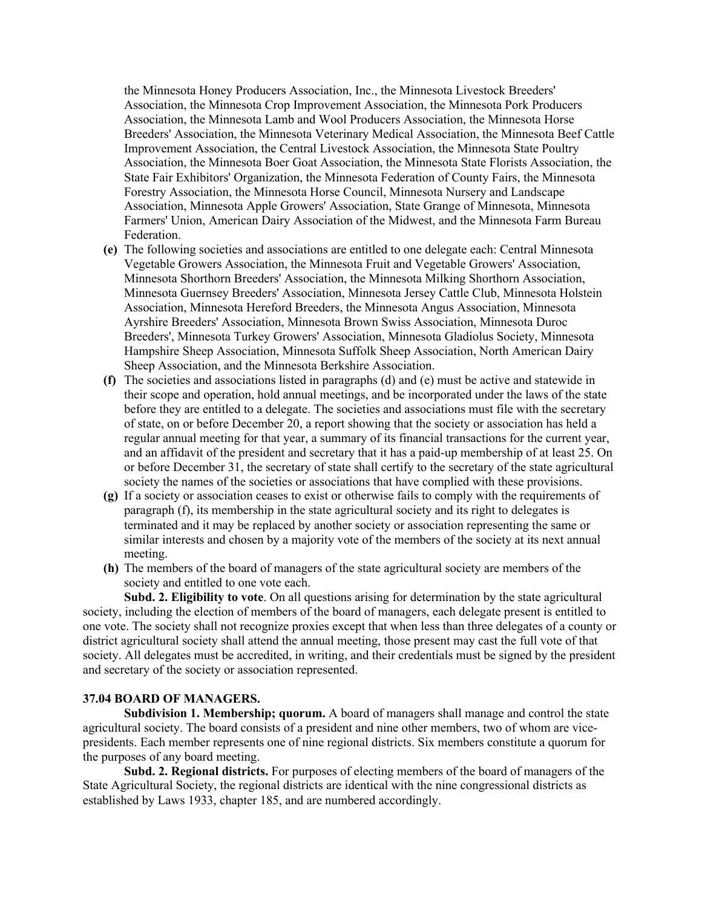the Minnesota Honey Producers Association, Inc., the Minnesota Livestock Breeders' Association, the Minnesota Crop Improvement Association, the Minnesota Pork Producers Association, the Minnesota Lamb and Wool Producers Association, the Minnesota Horse Breeders' Association, the Minnesota Veterinary Medical Association, the Minnesota Beef Cattle Improvement Association, the Central Livestock Association, the Minnesota State Poultry Association, the Minnesota Boer Goat Association, the Minnesota State Florists Association, the State Fair Exhibitors' Organization, the Minnesota Federation of County Fairs, the Minnesota Forestry Association, the Minnesota Horse Council, Minnesota Nursery and Landscape Association, Minnesota Apple Growers' Association, State Grange of Minnesota, Minnesota Farmers' Union, American Dairy Association of the Midwest, and the Minnesota Farm Bureau Federation.

- **(e)** The following societies and associations are entitled to one delegate each: Central Minnesota Vegetable Growers Association, the Minnesota Fruit and Vegetable Growers' Association, Minnesota Shorthorn Breeders' Association, the Minnesota Milking Shorthorn Association, Minnesota Guernsey Breeders' Association, Minnesota Jersey Cattle Club, Minnesota Holstein Association, Minnesota Hereford Breeders, the Minnesota Angus Association, Minnesota Ayrshire Breeders' Association, Minnesota Brown Swiss Association, Minnesota Duroc Breeders', Minnesota Turkey Growers' Association, Minnesota Gladiolus Society, Minnesota Hampshire Sheep Association, Minnesota Suffolk Sheep Association, North American Dairy Sheep Association, and the Minnesota Berkshire Association.
- **(f)** The societies and associations listed in paragraphs (d) and (e) must be active and statewide in their scope and operation, hold annual meetings, and be incorporated under the laws of the state before they are entitled to a delegate. The societies and associations must file with the secretary of state, on or before December 20, a report showing that the society or association has held a regular annual meeting for that year, a summary of its financial transactions for the current year, and an affidavit of the president and secretary that it has a paid-up membership of at least 25. On or before December 31, the secretary of state shall certify to the secretary of the state agricultural society the names of the societies or associations that have complied with these provisions.
- **(g)** If a society or association ceases to exist or otherwise fails to comply with the requirements of paragraph (f), its membership in the state agricultural society and its right to delegates is terminated and it may be replaced by another society or association representing the same or similar interests and chosen by a majority vote of the members of the society at its next annual meeting.
- **(h)** The members of the board of managers of the state agricultural society are members of the society and entitled to one vote each.

**Subd. 2. Eligibility to vote**. On all questions arising for determination by the state agricultural society, including the election of members of the board of managers, each delegate present is entitled to one vote. The society shall not recognize proxies except that when less than three delegates of a county or district agricultural society shall attend the annual meeting, those present may cast the full vote of that society. All delegates must be accredited, in writing, and their credentials must be signed by the president and secretary of the society or association represented.

# **37.04 BOARD OF MANAGERS.**

**Subdivision 1. Membership; quorum.** A board of managers shall manage and control the state agricultural society. The board consists of a president and nine other members, two of whom are vicepresidents. Each member represents one of nine regional districts. Six members constitute a quorum for the purposes of any board meeting.

**Subd. 2. Regional districts.** For purposes of electing members of the board of managers of the State Agricultural Society, the regional districts are identical with the nine congressional districts as established by Laws 1933, chapter 185, and are numbered accordingly.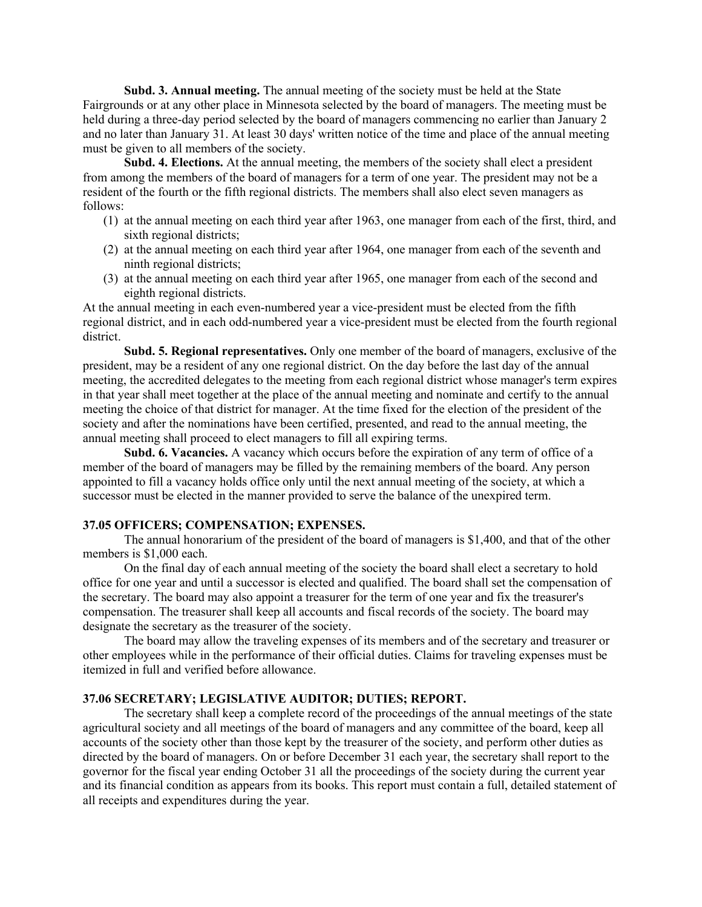**Subd. 3. Annual meeting.** The annual meeting of the society must be held at the State Fairgrounds or at any other place in Minnesota selected by the board of managers. The meeting must be held during a three-day period selected by the board of managers commencing no earlier than January 2 and no later than January 31. At least 30 days' written notice of the time and place of the annual meeting must be given to all members of the society.

**Subd. 4. Elections.** At the annual meeting, the members of the society shall elect a president from among the members of the board of managers for a term of one year. The president may not be a resident of the fourth or the fifth regional districts. The members shall also elect seven managers as follows:

- (1) at the annual meeting on each third year after 1963, one manager from each of the first, third, and sixth regional districts;
- (2) at the annual meeting on each third year after 1964, one manager from each of the seventh and ninth regional districts;
- (3) at the annual meeting on each third year after 1965, one manager from each of the second and eighth regional districts.

At the annual meeting in each even-numbered year a vice-president must be elected from the fifth regional district, and in each odd-numbered year a vice-president must be elected from the fourth regional district.

**Subd. 5. Regional representatives.** Only one member of the board of managers, exclusive of the president, may be a resident of any one regional district. On the day before the last day of the annual meeting, the accredited delegates to the meeting from each regional district whose manager's term expires in that year shall meet together at the place of the annual meeting and nominate and certify to the annual meeting the choice of that district for manager. At the time fixed for the election of the president of the society and after the nominations have been certified, presented, and read to the annual meeting, the annual meeting shall proceed to elect managers to fill all expiring terms.

**Subd. 6. Vacancies.** A vacancy which occurs before the expiration of any term of office of a member of the board of managers may be filled by the remaining members of the board. Any person appointed to fill a vacancy holds office only until the next annual meeting of the society, at which a successor must be elected in the manner provided to serve the balance of the unexpired term.

# **37.05 OFFICERS; COMPENSATION; EXPENSES.**

The annual honorarium of the president of the board of managers is \$1,400, and that of the other members is \$1,000 each.

On the final day of each annual meeting of the society the board shall elect a secretary to hold office for one year and until a successor is elected and qualified. The board shall set the compensation of the secretary. The board may also appoint a treasurer for the term of one year and fix the treasurer's compensation. The treasurer shall keep all accounts and fiscal records of the society. The board may designate the secretary as the treasurer of the society.

The board may allow the traveling expenses of its members and of the secretary and treasurer or other employees while in the performance of their official duties. Claims for traveling expenses must be itemized in full and verified before allowance.

# **37.06 SECRETARY; LEGISLATIVE AUDITOR; DUTIES; REPORT.**

The secretary shall keep a complete record of the proceedings of the annual meetings of the state agricultural society and all meetings of the board of managers and any committee of the board, keep all accounts of the society other than those kept by the treasurer of the society, and perform other duties as directed by the board of managers. On or before December 31 each year, the secretary shall report to the governor for the fiscal year ending October 31 all the proceedings of the society during the current year and its financial condition as appears from its books. This report must contain a full, detailed statement of all receipts and expenditures during the year.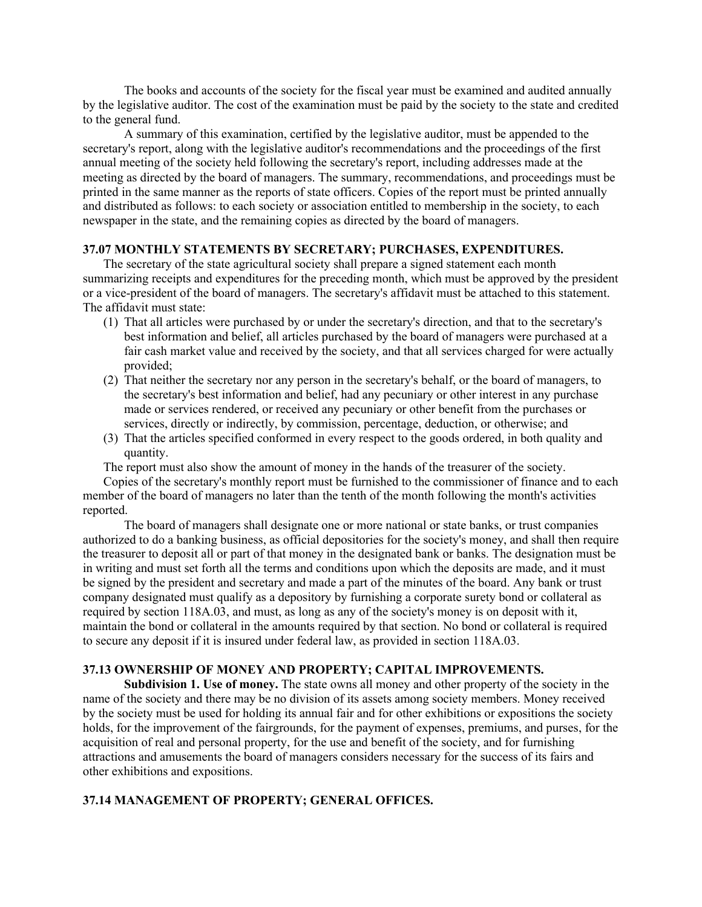The books and accounts of the society for the fiscal year must be examined and audited annually by the legislative auditor. The cost of the examination must be paid by the society to the state and credited to the general fund.

A summary of this examination, certified by the legislative auditor, must be appended to the secretary's report, along with the legislative auditor's recommendations and the proceedings of the first annual meeting of the society held following the secretary's report, including addresses made at the meeting as directed by the board of managers. The summary, recommendations, and proceedings must be printed in the same manner as the reports of state officers. Copies of the report must be printed annually and distributed as follows: to each society or association entitled to membership in the society, to each newspaper in the state, and the remaining copies as directed by the board of managers.

# **37.07 MONTHLY STATEMENTS BY SECRETARY; PURCHASES, EXPENDITURES.**

The secretary of the state agricultural society shall prepare a signed statement each month summarizing receipts and expenditures for the preceding month, which must be approved by the president or a vice-president of the board of managers. The secretary's affidavit must be attached to this statement. The affidavit must state:

- (1) That all articles were purchased by or under the secretary's direction, and that to the secretary's best information and belief, all articles purchased by the board of managers were purchased at a fair cash market value and received by the society, and that all services charged for were actually provided;
- (2) That neither the secretary nor any person in the secretary's behalf, or the board of managers, to the secretary's best information and belief, had any pecuniary or other interest in any purchase made or services rendered, or received any pecuniary or other benefit from the purchases or services, directly or indirectly, by commission, percentage, deduction, or otherwise; and
- (3) That the articles specified conformed in every respect to the goods ordered, in both quality and quantity.

The report must also show the amount of money in the hands of the treasurer of the society.

Copies of the secretary's monthly report must be furnished to the commissioner of finance and to each member of the board of managers no later than the tenth of the month following the month's activities reported.

The board of managers shall designate one or more national or state banks, or trust companies authorized to do a banking business, as official depositories for the society's money, and shall then require the treasurer to deposit all or part of that money in the designated bank or banks. The designation must be in writing and must set forth all the terms and conditions upon which the deposits are made, and it must be signed by the president and secretary and made a part of the minutes of the board. Any bank or trust company designated must qualify as a depository by furnishing a corporate surety bond or collateral as required by section 118A.03, and must, as long as any of the society's money is on deposit with it, maintain the bond or collateral in the amounts required by that section. No bond or collateral is required to secure any deposit if it is insured under federal law, as provided in section 118A.03.

# **37.13 OWNERSHIP OF MONEY AND PROPERTY; CAPITAL IMPROVEMENTS.**

**Subdivision 1. Use of money.** The state owns all money and other property of the society in the name of the society and there may be no division of its assets among society members. Money received by the society must be used for holding its annual fair and for other exhibitions or expositions the society holds, for the improvement of the fairgrounds, for the payment of expenses, premiums, and purses, for the acquisition of real and personal property, for the use and benefit of the society, and for furnishing attractions and amusements the board of managers considers necessary for the success of its fairs and other exhibitions and expositions.

# **37.14 MANAGEMENT OF PROPERTY; GENERAL OFFICES.**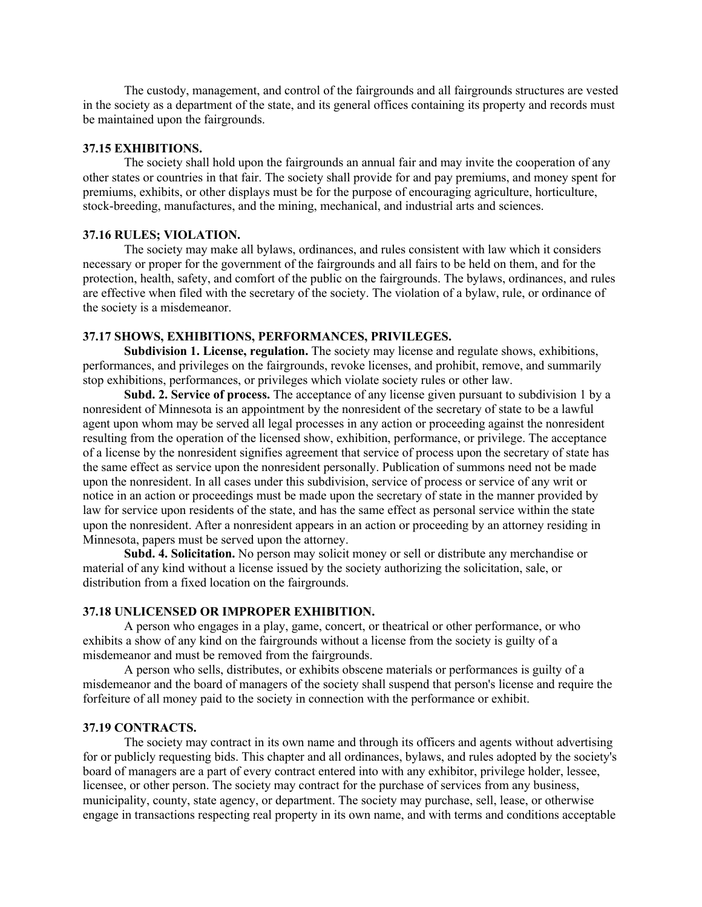The custody, management, and control of the fairgrounds and all fairgrounds structures are vested in the society as a department of the state, and its general offices containing its property and records must be maintained upon the fairgrounds.

#### **37.15 EXHIBITIONS.**

The society shall hold upon the fairgrounds an annual fair and may invite the cooperation of any other states or countries in that fair. The society shall provide for and pay premiums, and money spent for premiums, exhibits, or other displays must be for the purpose of encouraging agriculture, horticulture, stock-breeding, manufactures, and the mining, mechanical, and industrial arts and sciences.

# **37.16 RULES; VIOLATION.**

The society may make all bylaws, ordinances, and rules consistent with law which it considers necessary or proper for the government of the fairgrounds and all fairs to be held on them, and for the protection, health, safety, and comfort of the public on the fairgrounds. The bylaws, ordinances, and rules are effective when filed with the secretary of the society. The violation of a bylaw, rule, or ordinance of the society is a misdemeanor.

# **37.17 SHOWS, EXHIBITIONS, PERFORMANCES, PRIVILEGES.**

**Subdivision 1. License, regulation.** The society may license and regulate shows, exhibitions, performances, and privileges on the fairgrounds, revoke licenses, and prohibit, remove, and summarily stop exhibitions, performances, or privileges which violate society rules or other law.

**Subd. 2. Service of process.** The acceptance of any license given pursuant to subdivision 1 by a nonresident of Minnesota is an appointment by the nonresident of the secretary of state to be a lawful agent upon whom may be served all legal processes in any action or proceeding against the nonresident resulting from the operation of the licensed show, exhibition, performance, or privilege. The acceptance of a license by the nonresident signifies agreement that service of process upon the secretary of state has the same effect as service upon the nonresident personally. Publication of summons need not be made upon the nonresident. In all cases under this subdivision, service of process or service of any writ or notice in an action or proceedings must be made upon the secretary of state in the manner provided by law for service upon residents of the state, and has the same effect as personal service within the state upon the nonresident. After a nonresident appears in an action or proceeding by an attorney residing in Minnesota, papers must be served upon the attorney.

**Subd. 4. Solicitation.** No person may solicit money or sell or distribute any merchandise or material of any kind without a license issued by the society authorizing the solicitation, sale, or distribution from a fixed location on the fairgrounds.

#### **37.18 UNLICENSED OR IMPROPER EXHIBITION.**

A person who engages in a play, game, concert, or theatrical or other performance, or who exhibits a show of any kind on the fairgrounds without a license from the society is guilty of a misdemeanor and must be removed from the fairgrounds.

A person who sells, distributes, or exhibits obscene materials or performances is guilty of a misdemeanor and the board of managers of the society shall suspend that person's license and require the forfeiture of all money paid to the society in connection with the performance or exhibit.

#### **37.19 CONTRACTS.**

The society may contract in its own name and through its officers and agents without advertising for or publicly requesting bids. This chapter and all ordinances, bylaws, and rules adopted by the society's board of managers are a part of every contract entered into with any exhibitor, privilege holder, lessee, licensee, or other person. The society may contract for the purchase of services from any business, municipality, county, state agency, or department. The society may purchase, sell, lease, or otherwise engage in transactions respecting real property in its own name, and with terms and conditions acceptable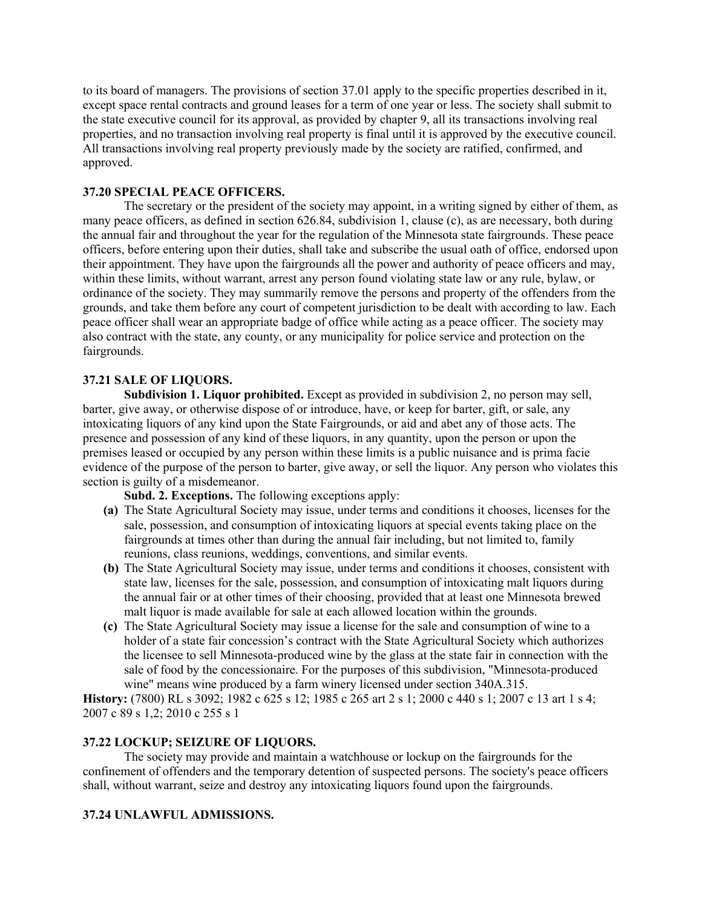to its board of managers. The provisions of section 37.01 apply to the specific properties described in it, except space rental contracts and ground leases for a term of one year or less. The society shall submit to the state executive council for its approval, as provided by chapter 9, all its transactions involving real properties, and no transaction involving real property is final until it is approved by the executive council. All transactions involving real property previously made by the society are ratified, confirmed, and approved.

# **37.20 SPECIAL PEACE OFFICERS.**

The secretary or the president of the society may appoint, in a writing signed by either of them, as many peace officers, as defined in section 626.84, subdivision 1, clause (c), as are necessary, both during the annual fair and throughout the year for the regulation of the Minnesota state fairgrounds. These peace officers, before entering upon their duties, shall take and subscribe the usual oath of office, endorsed upon their appointment. They have upon the fairgrounds all the power and authority of peace officers and may, within these limits, without warrant, arrest any person found violating state law or any rule, bylaw, or ordinance of the society. They may summarily remove the persons and property of the offenders from the grounds, and take them before any court of competent jurisdiction to be dealt with according to law. Each peace officer shall wear an appropriate badge of office while acting as a peace officer. The society may also contract with the state, any county, or any municipality for police service and protection on the fairgrounds.

# **37.21 SALE OF LIQUORS.**

**Subdivision 1. Liquor prohibited.** Except as provided in subdivision 2, no person may sell, barter, give away, or otherwise dispose of or introduce, have, or keep for barter, gift, or sale, any intoxicating liquors of any kind upon the State Fairgrounds, or aid and abet any of those acts. The presence and possession of any kind of these liquors, in any quantity, upon the person or upon the premises leased or occupied by any person within these limits is a public nuisance and is prima facie evidence of the purpose of the person to barter, give away, or sell the liquor. Any person who violates this section is guilty of a misdemeanor.

**Subd. 2. Exceptions.** The following exceptions apply:

- **(a)** The State Agricultural Society may issue, under terms and conditions it chooses, licenses for the sale, possession, and consumption of intoxicating liquors at special events taking place on the fairgrounds at times other than during the annual fair including, but not limited to, family reunions, class reunions, weddings, conventions, and similar events.
- **(b)** The State Agricultural Society may issue, under terms and conditions it chooses, consistent with state law, licenses for the sale, possession, and consumption of intoxicating malt liquors during the annual fair or at other times of their choosing, provided that at least one Minnesota brewed malt liquor is made available for sale at each allowed location within the grounds.
- **(c)** The State Agricultural Society may issue a license for the sale and consumption of wine to a holder of a state fair concession's contract with the State Agricultural Society which authorizes the licensee to sell Minnesota-produced wine by the glass at the state fair in connection with the sale of food by the concessionaire. For the purposes of this subdivision, "Minnesota-produced wine" means wine produced by a farm winery licensed under section 340A.315.

**History:** (7800) RL s 3092; 1982 c 625 s 12; 1985 c 265 art 2 s 1; 2000 c 440 s 1; 2007 c 13 art 1 s 4; 2007 c 89 s 1,2; 2010 c 255 s 1

# **37.22 LOCKUP; SEIZURE OF LIQUORS.**

The society may provide and maintain a watchhouse or lockup on the fairgrounds for the confinement of offenders and the temporary detention of suspected persons. The society's peace officers shall, without warrant, seize and destroy any intoxicating liquors found upon the fairgrounds.

# **37.24 UNLAWFUL ADMISSIONS.**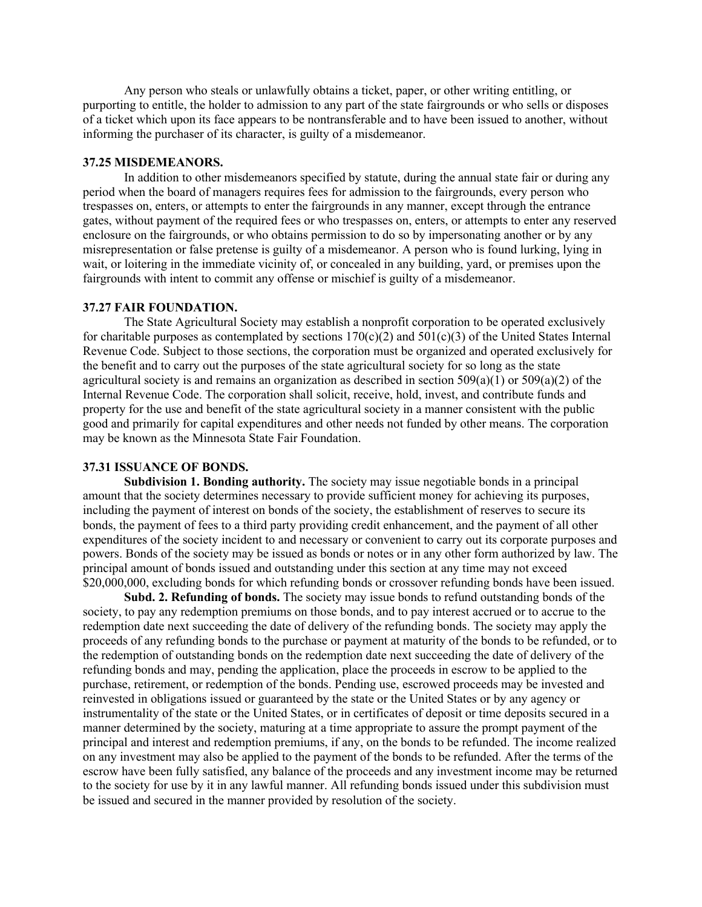Any person who steals or unlawfully obtains a ticket, paper, or other writing entitling, or purporting to entitle, the holder to admission to any part of the state fairgrounds or who sells or disposes of a ticket which upon its face appears to be nontransferable and to have been issued to another, without informing the purchaser of its character, is guilty of a misdemeanor.

#### **37.25 MISDEMEANORS.**

In addition to other misdemeanors specified by statute, during the annual state fair or during any period when the board of managers requires fees for admission to the fairgrounds, every person who trespasses on, enters, or attempts to enter the fairgrounds in any manner, except through the entrance gates, without payment of the required fees or who trespasses on, enters, or attempts to enter any reserved enclosure on the fairgrounds, or who obtains permission to do so by impersonating another or by any misrepresentation or false pretense is guilty of a misdemeanor. A person who is found lurking, lying in wait, or loitering in the immediate vicinity of, or concealed in any building, yard, or premises upon the fairgrounds with intent to commit any offense or mischief is guilty of a misdemeanor.

#### **37.27 FAIR FOUNDATION.**

The State Agricultural Society may establish a nonprofit corporation to be operated exclusively for charitable purposes as contemplated by sections  $170(c)(2)$  and  $501(c)(3)$  of the United States Internal Revenue Code. Subject to those sections, the corporation must be organized and operated exclusively for the benefit and to carry out the purposes of the state agricultural society for so long as the state agricultural society is and remains an organization as described in section  $509(a)(1)$  or  $509(a)(2)$  of the Internal Revenue Code. The corporation shall solicit, receive, hold, invest, and contribute funds and property for the use and benefit of the state agricultural society in a manner consistent with the public good and primarily for capital expenditures and other needs not funded by other means. The corporation may be known as the Minnesota State Fair Foundation.

# **37.31 ISSUANCE OF BONDS.**

**Subdivision 1. Bonding authority.** The society may issue negotiable bonds in a principal amount that the society determines necessary to provide sufficient money for achieving its purposes, including the payment of interest on bonds of the society, the establishment of reserves to secure its bonds, the payment of fees to a third party providing credit enhancement, and the payment of all other expenditures of the society incident to and necessary or convenient to carry out its corporate purposes and powers. Bonds of the society may be issued as bonds or notes or in any other form authorized by law. The principal amount of bonds issued and outstanding under this section at any time may not exceed \$20,000,000, excluding bonds for which refunding bonds or crossover refunding bonds have been issued.

**Subd. 2. Refunding of bonds.** The society may issue bonds to refund outstanding bonds of the society, to pay any redemption premiums on those bonds, and to pay interest accrued or to accrue to the redemption date next succeeding the date of delivery of the refunding bonds. The society may apply the proceeds of any refunding bonds to the purchase or payment at maturity of the bonds to be refunded, or to the redemption of outstanding bonds on the redemption date next succeeding the date of delivery of the refunding bonds and may, pending the application, place the proceeds in escrow to be applied to the purchase, retirement, or redemption of the bonds. Pending use, escrowed proceeds may be invested and reinvested in obligations issued or guaranteed by the state or the United States or by any agency or instrumentality of the state or the United States, or in certificates of deposit or time deposits secured in a manner determined by the society, maturing at a time appropriate to assure the prompt payment of the principal and interest and redemption premiums, if any, on the bonds to be refunded. The income realized on any investment may also be applied to the payment of the bonds to be refunded. After the terms of the escrow have been fully satisfied, any balance of the proceeds and any investment income may be returned to the society for use by it in any lawful manner. All refunding bonds issued under this subdivision must be issued and secured in the manner provided by resolution of the society.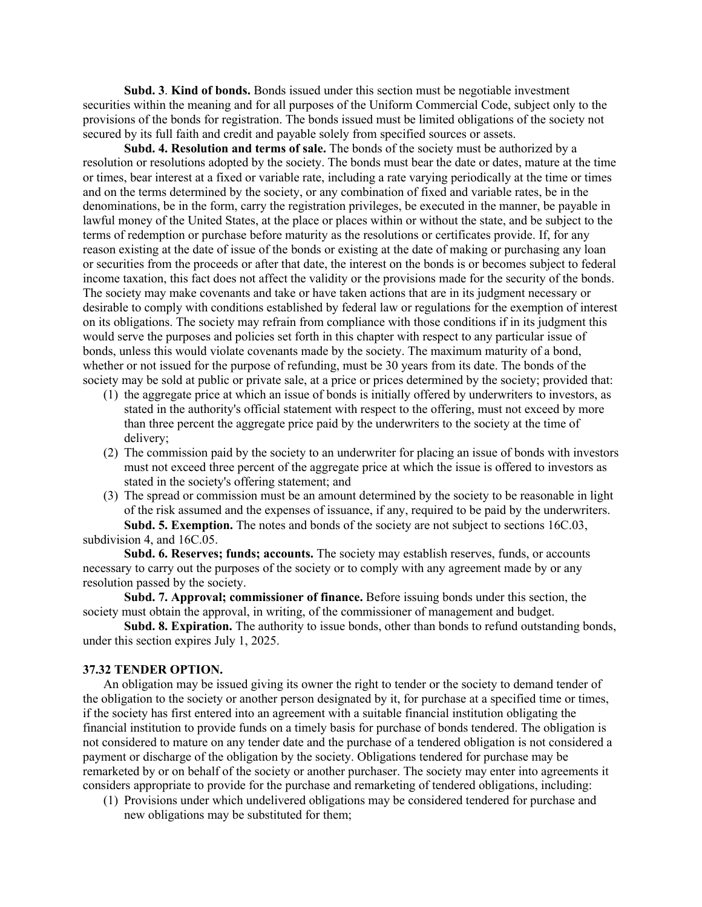**Subd. 3**. **Kind of bonds.** Bonds issued under this section must be negotiable investment securities within the meaning and for all purposes of the Uniform Commercial Code, subject only to the provisions of the bonds for registration. The bonds issued must be limited obligations of the society not secured by its full faith and credit and payable solely from specified sources or assets.

**Subd. 4. Resolution and terms of sale.** The bonds of the society must be authorized by a resolution or resolutions adopted by the society. The bonds must bear the date or dates, mature at the time or times, bear interest at a fixed or variable rate, including a rate varying periodically at the time or times and on the terms determined by the society, or any combination of fixed and variable rates, be in the denominations, be in the form, carry the registration privileges, be executed in the manner, be payable in lawful money of the United States, at the place or places within or without the state, and be subject to the terms of redemption or purchase before maturity as the resolutions or certificates provide. If, for any reason existing at the date of issue of the bonds or existing at the date of making or purchasing any loan or securities from the proceeds or after that date, the interest on the bonds is or becomes subject to federal income taxation, this fact does not affect the validity or the provisions made for the security of the bonds. The society may make covenants and take or have taken actions that are in its judgment necessary or desirable to comply with conditions established by federal law or regulations for the exemption of interest on its obligations. The society may refrain from compliance with those conditions if in its judgment this would serve the purposes and policies set forth in this chapter with respect to any particular issue of bonds, unless this would violate covenants made by the society. The maximum maturity of a bond, whether or not issued for the purpose of refunding, must be 30 years from its date. The bonds of the society may be sold at public or private sale, at a price or prices determined by the society; provided that:

- (1) the aggregate price at which an issue of bonds is initially offered by underwriters to investors, as stated in the authority's official statement with respect to the offering, must not exceed by more than three percent the aggregate price paid by the underwriters to the society at the time of delivery;
- (2) The commission paid by the society to an underwriter for placing an issue of bonds with investors must not exceed three percent of the aggregate price at which the issue is offered to investors as stated in the society's offering statement; and
- (3) The spread or commission must be an amount determined by the society to be reasonable in light of the risk assumed and the expenses of issuance, if any, required to be paid by the underwriters. **Subd. 5. Exemption.** The notes and bonds of the society are not subject to sections 16C.03, subdivision 4, and 16C.05.

**Subd. 6. Reserves; funds; accounts.** The society may establish reserves, funds, or accounts necessary to carry out the purposes of the society or to comply with any agreement made by or any resolution passed by the society.

**Subd. 7. Approval; commissioner of finance.** Before issuing bonds under this section, the society must obtain the approval, in writing, of the commissioner of management and budget.

**Subd. 8. Expiration.** The authority to issue bonds, other than bonds to refund outstanding bonds, under this section expires July 1, 2025.

# **37.32 TENDER OPTION.**

An obligation may be issued giving its owner the right to tender or the society to demand tender of the obligation to the society or another person designated by it, for purchase at a specified time or times, if the society has first entered into an agreement with a suitable financial institution obligating the financial institution to provide funds on a timely basis for purchase of bonds tendered. The obligation is not considered to mature on any tender date and the purchase of a tendered obligation is not considered a payment or discharge of the obligation by the society. Obligations tendered for purchase may be remarketed by or on behalf of the society or another purchaser. The society may enter into agreements it considers appropriate to provide for the purchase and remarketing of tendered obligations, including:

(1) Provisions under which undelivered obligations may be considered tendered for purchase and new obligations may be substituted for them;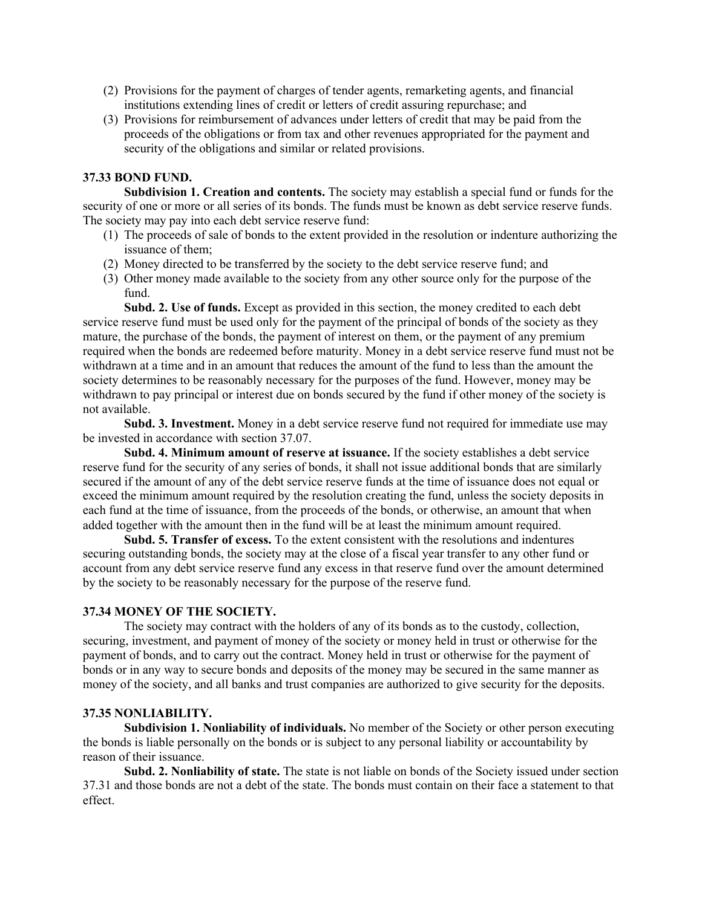- (2) Provisions for the payment of charges of tender agents, remarketing agents, and financial institutions extending lines of credit or letters of credit assuring repurchase; and
- (3) Provisions for reimbursement of advances under letters of credit that may be paid from the proceeds of the obligations or from tax and other revenues appropriated for the payment and security of the obligations and similar or related provisions.

# **37.33 BOND FUND.**

**Subdivision 1. Creation and contents.** The society may establish a special fund or funds for the security of one or more or all series of its bonds. The funds must be known as debt service reserve funds. The society may pay into each debt service reserve fund:

- (1) The proceeds of sale of bonds to the extent provided in the resolution or indenture authorizing the issuance of them;
- (2) Money directed to be transferred by the society to the debt service reserve fund; and
- (3) Other money made available to the society from any other source only for the purpose of the fund.

**Subd. 2. Use of funds.** Except as provided in this section, the money credited to each debt service reserve fund must be used only for the payment of the principal of bonds of the society as they mature, the purchase of the bonds, the payment of interest on them, or the payment of any premium required when the bonds are redeemed before maturity. Money in a debt service reserve fund must not be withdrawn at a time and in an amount that reduces the amount of the fund to less than the amount the society determines to be reasonably necessary for the purposes of the fund. However, money may be withdrawn to pay principal or interest due on bonds secured by the fund if other money of the society is not available.

**Subd. 3. Investment.** Money in a debt service reserve fund not required for immediate use may be invested in accordance with section 37.07.

**Subd. 4. Minimum amount of reserve at issuance.** If the society establishes a debt service reserve fund for the security of any series of bonds, it shall not issue additional bonds that are similarly secured if the amount of any of the debt service reserve funds at the time of issuance does not equal or exceed the minimum amount required by the resolution creating the fund, unless the society deposits in each fund at the time of issuance, from the proceeds of the bonds, or otherwise, an amount that when added together with the amount then in the fund will be at least the minimum amount required.

**Subd. 5. Transfer of excess.** To the extent consistent with the resolutions and indentures securing outstanding bonds, the society may at the close of a fiscal year transfer to any other fund or account from any debt service reserve fund any excess in that reserve fund over the amount determined by the society to be reasonably necessary for the purpose of the reserve fund.

#### **37.34 MONEY OF THE SOCIETY.**

The society may contract with the holders of any of its bonds as to the custody, collection, securing, investment, and payment of money of the society or money held in trust or otherwise for the payment of bonds, and to carry out the contract. Money held in trust or otherwise for the payment of bonds or in any way to secure bonds and deposits of the money may be secured in the same manner as money of the society, and all banks and trust companies are authorized to give security for the deposits.

#### **37.35 NONLIABILITY.**

**Subdivision 1. Nonliability of individuals.** No member of the Society or other person executing the bonds is liable personally on the bonds or is subject to any personal liability or accountability by reason of their issuance.

**Subd. 2. Nonliability of state.** The state is not liable on bonds of the Society issued under section 37.31 and those bonds are not a debt of the state. The bonds must contain on their face a statement to that effect.